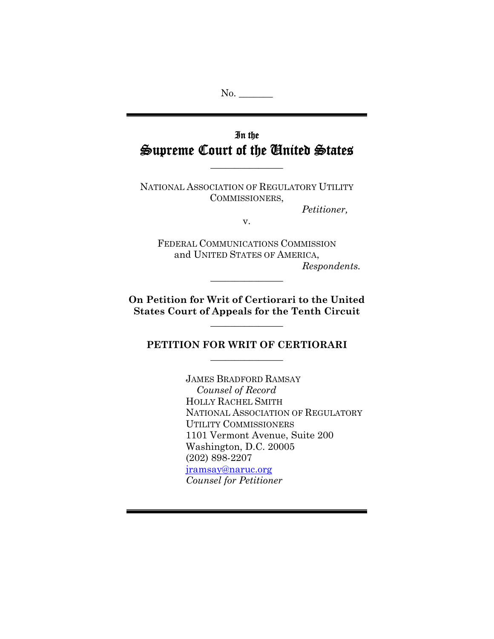No.

## In the Supreme Court of the United States

 $\frac{1}{2}$ 

NATIONAL ASSOCIATION OF REGULATORY UTILITY COMMISSIONERS,

*Petitioner,* 

v.

FEDERAL COMMUNICATIONS COMMISSION and UNITED STATES OF AMERICA, *Respondents.* 

**On Petition for Writ of Certiorari to the United States Court of Appeals for the Tenth Circuit** 

 $\frac{1}{2}$ 

 $\frac{1}{2}$ 

**PETITION FOR WRIT OF CERTIORARI**   $\frac{1}{2}$ 

> JAMES BRADFORD RAMSAY *Counsel of Record* HOLLY RACHEL SMITH NATIONAL ASSOCIATION OF REGULATORY UTILITY COMMISSIONERS 1101 Vermont Avenue, Suite 200 Washington, D.C. 20005 (202) 898-2207 jramsay@naruc.org *Counsel for Petitioner*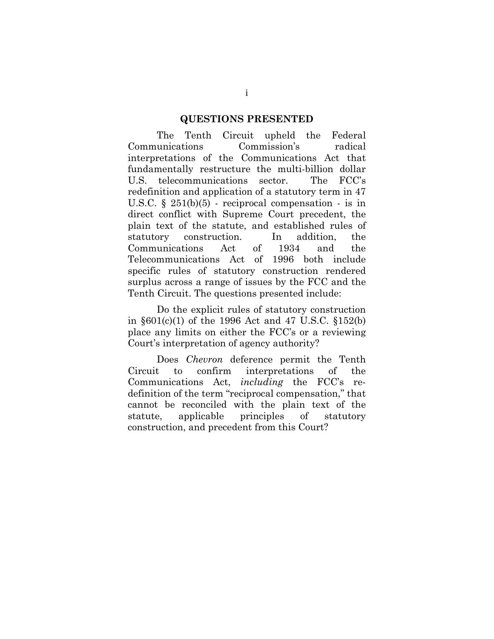#### **QUESTIONS PRESENTED**

 The Tenth Circuit upheld the Federal Communications Commission's radical interpretations of the Communications Act that fundamentally restructure the multi-billion dollar U.S. telecommunications sector. The FCC's redefinition and application of a statutory term in 47 U.S.C.  $\S$  251(b)(5) - reciprocal compensation - is in direct conflict with Supreme Court precedent, the plain text of the statute, and established rules of statutory construction. In addition, the Communications Act of 1934 and the Telecommunications Act of 1996 both include specific rules of statutory construction rendered surplus across a range of issues by the FCC and the Tenth Circuit. The questions presented include:

 Do the explicit rules of statutory construction in §601(c)(1) of the 1996 Act and 47 U.S.C. §152(b) place any limits on either the FCC's or a reviewing Court's interpretation of agency authority?

 Does *Chevron* deference permit the Tenth Circuit to confirm interpretations of the Communications Act, *including* the FCC's redefinition of the term "reciprocal compensation," that cannot be reconciled with the plain text of the statute, applicable principles of statutory construction, and precedent from this Court?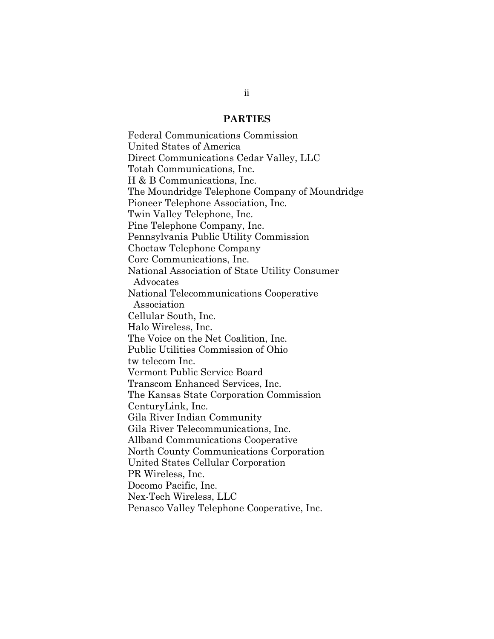#### **PARTIES**

Federal Communications Commission United States of America Direct Communications Cedar Valley, LLC Totah Communications, Inc. H & B Communications, Inc. The Moundridge Telephone Company of Moundridge Pioneer Telephone Association, Inc. Twin Valley Telephone, Inc. Pine Telephone Company, Inc. Pennsylvania Public Utility Commission Choctaw Telephone Company Core Communications, Inc. National Association of State Utility Consumer Advocates National Telecommunications Cooperative Association Cellular South, Inc. Halo Wireless, Inc. The Voice on the Net Coalition, Inc. Public Utilities Commission of Ohio tw telecom Inc. Vermont Public Service Board Transcom Enhanced Services, Inc. The Kansas State Corporation Commission CenturyLink, Inc. Gila River Indian Community Gila River Telecommunications, Inc. Allband Communications Cooperative North County Communications Corporation United States Cellular Corporation PR Wireless, Inc. Docomo Pacific, Inc. Nex-Tech Wireless, LLC Penasco Valley Telephone Cooperative, Inc.

ii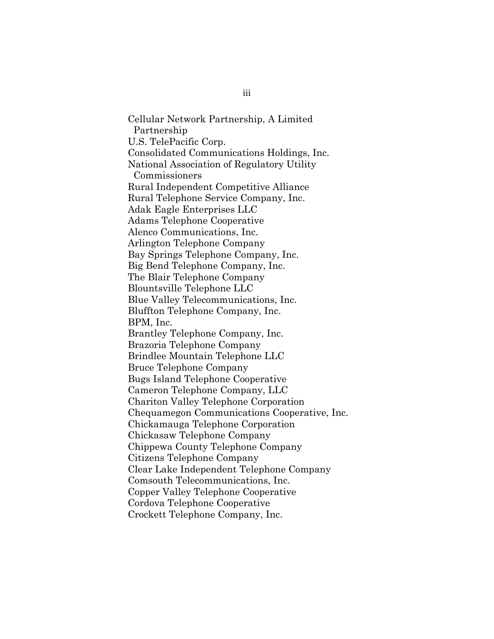Cellular Network Partnership, A Limited Partnership U.S. TelePacific Corp. Consolidated Communications Holdings, Inc. National Association of Regulatory Utility Commissioners Rural Independent Competitive Alliance Rural Telephone Service Company, Inc. Adak Eagle Enterprises LLC Adams Telephone Cooperative Alenco Communications, Inc. Arlington Telephone Company Bay Springs Telephone Company, Inc. Big Bend Telephone Company, Inc. The Blair Telephone Company Blountsville Telephone LLC Blue Valley Telecommunications, Inc. Bluffton Telephone Company, Inc. BPM, Inc. Brantley Telephone Company, Inc. Brazoria Telephone Company Brindlee Mountain Telephone LLC Bruce Telephone Company Bugs Island Telephone Cooperative Cameron Telephone Company, LLC Chariton Valley Telephone Corporation Chequamegon Communications Cooperative, Inc. Chickamauga Telephone Corporation Chickasaw Telephone Company Chippewa County Telephone Company Citizens Telephone Company Clear Lake Independent Telephone Company Comsouth Telecommunications, Inc. Copper Valley Telephone Cooperative Cordova Telephone Cooperative Crockett Telephone Company, Inc.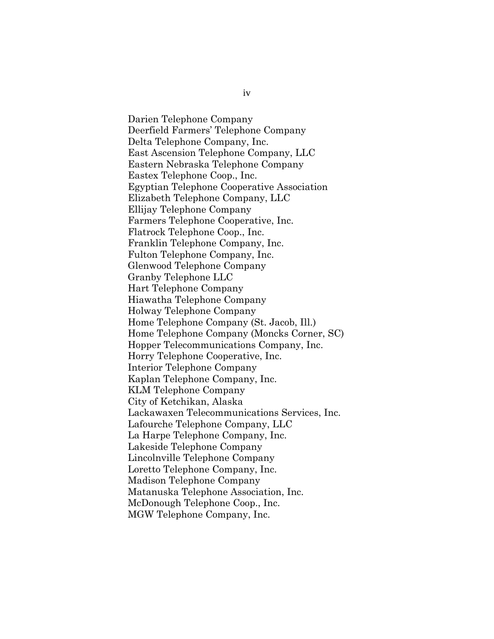Darien Telephone Company Deerfield Farmers' Telephone Company Delta Telephone Company, Inc. East Ascension Telephone Company, LLC Eastern Nebraska Telephone Company Eastex Telephone Coop., Inc. Egyptian Telephone Cooperative Association Elizabeth Telephone Company, LLC Ellijay Telephone Company Farmers Telephone Cooperative, Inc. Flatrock Telephone Coop., Inc. Franklin Telephone Company, Inc. Fulton Telephone Company, Inc. Glenwood Telephone Company Granby Telephone LLC Hart Telephone Company Hiawatha Telephone Company Holway Telephone Company Home Telephone Company (St. Jacob, Ill.) Home Telephone Company (Moncks Corner, SC) Hopper Telecommunications Company, Inc. Horry Telephone Cooperative, Inc. Interior Telephone Company Kaplan Telephone Company, Inc. KLM Telephone Company City of Ketchikan, Alaska Lackawaxen Telecommunications Services, Inc. Lafourche Telephone Company, LLC La Harpe Telephone Company, Inc. Lakeside Telephone Company Lincolnville Telephone Company Loretto Telephone Company, Inc. Madison Telephone Company Matanuska Telephone Association, Inc. McDonough Telephone Coop., Inc. MGW Telephone Company, Inc.

iv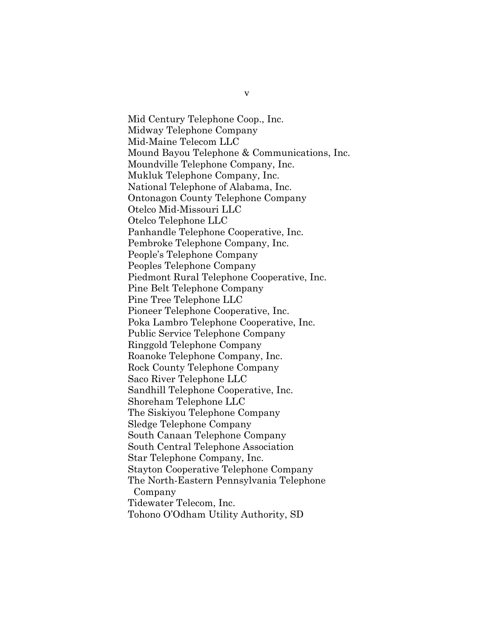Mid Century Telephone Coop., Inc. Midway Telephone Company Mid-Maine Telecom LLC Mound Bayou Telephone & Communications, Inc. Moundville Telephone Company, Inc. Mukluk Telephone Company, Inc. National Telephone of Alabama, Inc. Ontonagon County Telephone Company Otelco Mid-Missouri LLC Otelco Telephone LLC Panhandle Telephone Cooperative, Inc. Pembroke Telephone Company, Inc. People's Telephone Company Peoples Telephone Company Piedmont Rural Telephone Cooperative, Inc. Pine Belt Telephone Company Pine Tree Telephone LLC Pioneer Telephone Cooperative, Inc. Poka Lambro Telephone Cooperative, Inc. Public Service Telephone Company Ringgold Telephone Company Roanoke Telephone Company, Inc. Rock County Telephone Company Saco River Telephone LLC Sandhill Telephone Cooperative, Inc. Shoreham Telephone LLC The Siskiyou Telephone Company Sledge Telephone Company South Canaan Telephone Company South Central Telephone Association Star Telephone Company, Inc. Stayton Cooperative Telephone Company The North-Eastern Pennsylvania Telephone Company Tidewater Telecom, Inc. Tohono O'Odham Utility Authority, SD

v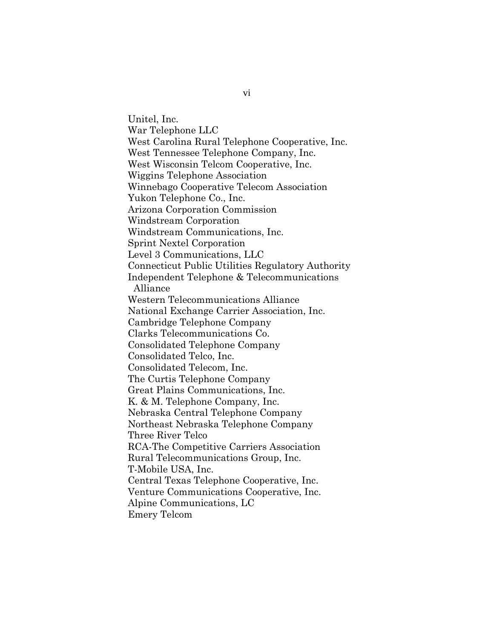Unitel, Inc. War Telephone LLC West Carolina Rural Telephone Cooperative, Inc. West Tennessee Telephone Company, Inc. West Wisconsin Telcom Cooperative, Inc. Wiggins Telephone Association Winnebago Cooperative Telecom Association Yukon Telephone Co., Inc. Arizona Corporation Commission Windstream Corporation Windstream Communications, Inc. Sprint Nextel Corporation Level 3 Communications, LLC Connecticut Public Utilities Regulatory Authority Independent Telephone & Telecommunications Alliance Western Telecommunications Alliance National Exchange Carrier Association, Inc. Cambridge Telephone Company Clarks Telecommunications Co. Consolidated Telephone Company Consolidated Telco, Inc. Consolidated Telecom, Inc. The Curtis Telephone Company Great Plains Communications, Inc. K. & M. Telephone Company, Inc. Nebraska Central Telephone Company Northeast Nebraska Telephone Company Three River Telco RCA-The Competitive Carriers Association Rural Telecommunications Group, Inc. T-Mobile USA, Inc. Central Texas Telephone Cooperative, Inc. Venture Communications Cooperative, Inc. Alpine Communications, LC Emery Telcom

vi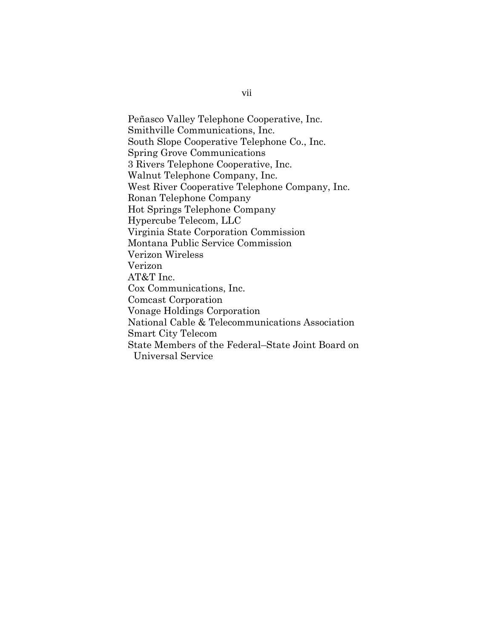Peñasco Valley Telephone Cooperative, Inc. Smithville Communications, Inc. South Slope Cooperative Telephone Co., Inc. Spring Grove Communications 3 Rivers Telephone Cooperative, Inc. Walnut Telephone Company, Inc. West River Cooperative Telephone Company, Inc. Ronan Telephone Company Hot Springs Telephone Company Hypercube Telecom, LLC Virginia State Corporation Commission Montana Public Service Commission Verizon Wireless Verizon AT&T Inc. Cox Communications, Inc. Comcast Corporation Vonage Holdings Corporation National Cable & Telecommunications Association Smart City Telecom State Members of the Federal–State Joint Board on Universal Service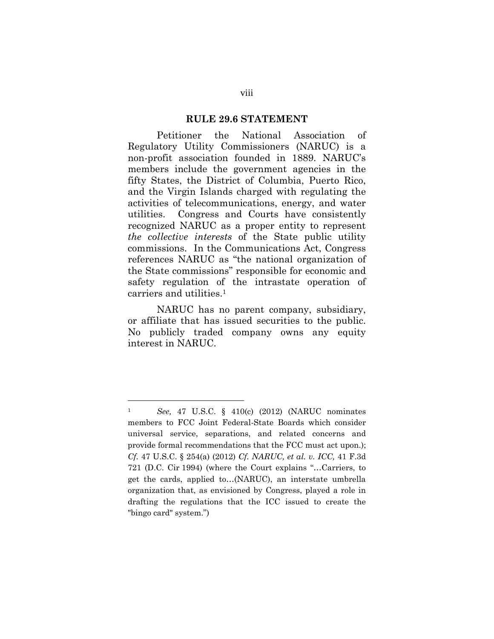#### **RULE 29.6 STATEMENT**

Petitioner the National Association of Regulatory Utility Commissioners (NARUC) is a non-profit association founded in 1889. NARUC's members include the government agencies in the fifty States, the District of Columbia, Puerto Rico, and the Virgin Islands charged with regulating the activities of telecommunications, energy, and water utilities. Congress and Courts have consistently recognized NARUC as a proper entity to represent *the collective interests* of the State public utility commissions. In the Communications Act, Congress references NARUC as "the national organization of the State commissions" responsible for economic and safety regulation of the intrastate operation of carriers and utilities.1

NARUC has no parent company, subsidiary, or affiliate that has issued securities to the public. No publicly traded company owns any equity interest in NARUC.

<sup>1</sup> *See,* 47 U.S.C. § 410(c) (2012) (NARUC nominates members to FCC Joint Federal-State Boards which consider universal service, separations, and related concerns and provide formal recommendations that the FCC must act upon.); *Cf.* 47 U.S.C. § 254(a) (2012) *Cf. NARUC, et al. v. ICC,* 41 F.3d 721 (D.C. Cir 1994) (where the Court explains "…Carriers, to get the cards, applied to…(NARUC), an interstate umbrella organization that, as envisioned by Congress, played a role in drafting the regulations that the ICC issued to create the "bingo card" system.")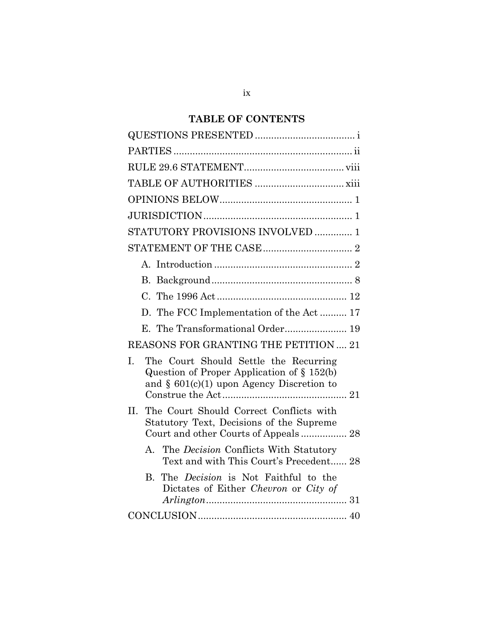# **TABLE OF CONTENTS**

| STATUTORY PROVISIONS INVOLVED  1                                                                                                             |
|----------------------------------------------------------------------------------------------------------------------------------------------|
|                                                                                                                                              |
|                                                                                                                                              |
|                                                                                                                                              |
|                                                                                                                                              |
| D. The FCC Implementation of the Act 17                                                                                                      |
|                                                                                                                                              |
| REASONS FOR GRANTING THE PETITION  21                                                                                                        |
| The Court Should Settle the Recurring<br>I.<br>Question of Proper Application of $\S 152(b)$<br>and $\S$ 601(c)(1) upon Agency Discretion to |
| The Court Should Correct Conflicts with<br>II.<br>Statutory Text, Decisions of the Supreme<br>Court and other Courts of Appeals 28           |
| The <i>Decision</i> Conflicts With Statutory<br>$\mathbf{A}$<br>Text and with This Court's Precedent 28                                      |
| The <i>Decision</i> is Not Faithful to the<br>B.<br>Dictates of Either Chevron or City of                                                    |
|                                                                                                                                              |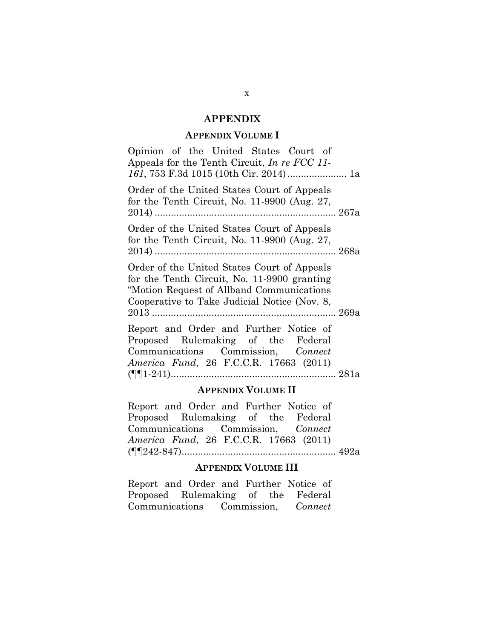#### **APPENDIX**

#### **APPENDIX VOLUME I**

Opinion of the United States Court of Appeals for the Tenth Circuit, *In re FCC 11- 161*, 753 F.3d 1015 (10th Cir. 2014) ...................... 1a

Order of the United States Court of Appeals for the Tenth Circuit, No. 11-9900 (Aug. 27, 2014) ................................................................... 267a

Order of the United States Court of Appeals for the Tenth Circuit, No. 11-9900 (Aug. 27, 2014) ................................................................... 268a

Order of the United States Court of Appeals for the Tenth Circuit, No. 11-9900 granting "Motion Request of Allband Communications Cooperative to Take Judicial Notice (Nov. 8, 2013 .................................................................... 269a

Report and Order and Further Notice of Proposed Rulemaking of the Federal Communications Commission, *Connect America Fund*, 26 F.C.C.R. 17663 (2011) (¶¶1-241) ............................................................. 281a

#### **APPENDIX VOLUME II**

Report and Order and Further Notice of Proposed Rulemaking of the Federal Communications Commission, *Connect America Fund*, 26 F.C.C.R. 17663 (2011) (¶¶242-847) ......................................................... 492a

#### **APPENDIX VOLUME III**

Report and Order and Further Notice of Proposed Rulemaking of the Federal Communications Commission, *Connect*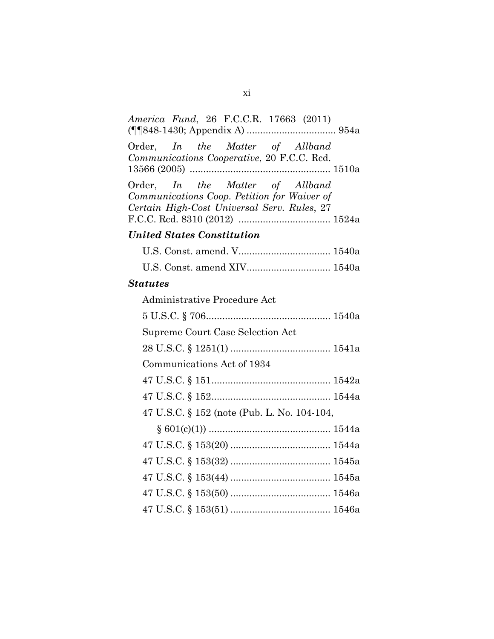| America Fund, 26 F.C.C.R. 17663 (2011)                                                                                        |
|-------------------------------------------------------------------------------------------------------------------------------|
| Order, In the Matter of Allband<br>Communications Cooperative, 20 F.C.C. Red.                                                 |
| Order, In the Matter of Allband<br>Communications Coop. Petition for Waiver of<br>Certain High-Cost Universal Serv. Rules, 27 |
| <b>United States Constitution</b>                                                                                             |
|                                                                                                                               |
| U.S. Const. amend XIV 1540a                                                                                                   |
| <b>Statutes</b>                                                                                                               |
| Administrative Procedure Act                                                                                                  |
|                                                                                                                               |
| Supreme Court Case Selection Act                                                                                              |
|                                                                                                                               |
| Communications Act of 1934                                                                                                    |
|                                                                                                                               |
|                                                                                                                               |
| 47 U.S.C. § 152 (note (Pub. L. No. 104-104,                                                                                   |
|                                                                                                                               |
|                                                                                                                               |
|                                                                                                                               |
|                                                                                                                               |
|                                                                                                                               |
|                                                                                                                               |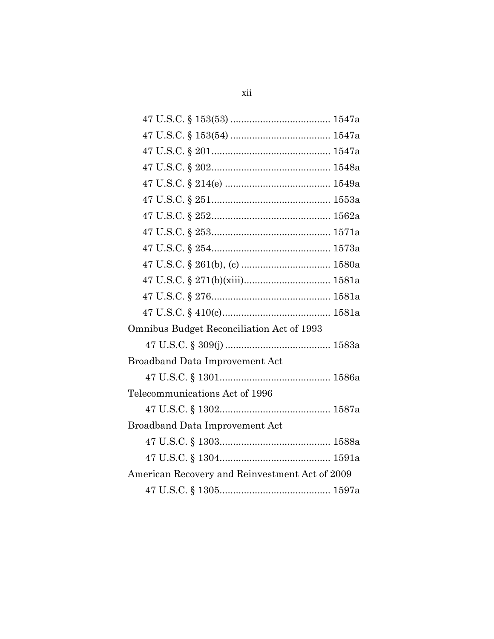| Omnibus Budget Reconciliation Act of 1993      |
|------------------------------------------------|
|                                                |
| <b>Broadband Data Improvement Act</b>          |
|                                                |
| Telecommunications Act of 1996                 |
|                                                |
| Broadband Data Improvement Act                 |
|                                                |
|                                                |
| American Recovery and Reinvestment Act of 2009 |
|                                                |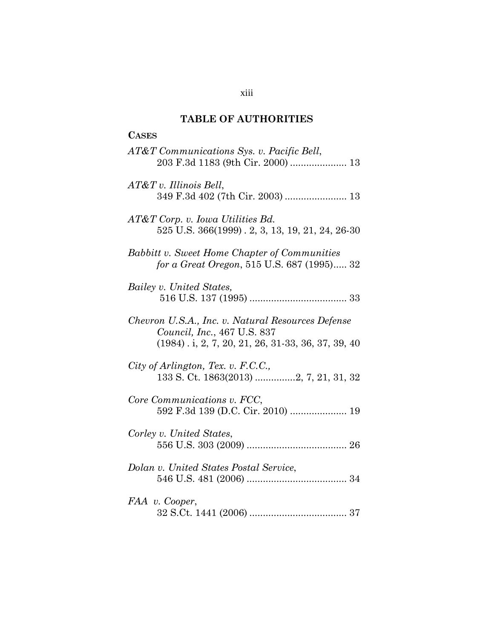## **TABLE OF AUTHORITIES**

| <b>CASES</b>                                                                                                                              |
|-------------------------------------------------------------------------------------------------------------------------------------------|
| AT&T Communications Sys. v. Pacific Bell,                                                                                                 |
| $AT\&T v.$ Illinois Bell,                                                                                                                 |
| $AT&T$ Corp. v. Iowa Utilities Bd.<br>525 U.S. 366(1999). 2, 3, 13, 19, 21, 24, 26-30                                                     |
| Babbitt v. Sweet Home Chapter of Communities<br>for a Great Oregon, 515 U.S. 687 (1995) 32                                                |
| Bailey v. United States,                                                                                                                  |
| Chevron U.S.A., Inc. v. Natural Resources Defense<br>Council, Inc., 467 U.S. 837<br>$(1984)$ . i, 2, 7, 20, 21, 26, 31-33, 36, 37, 39, 40 |
| City of Arlington, Tex. v. F.C.C.,<br>133 S. Ct. 1863(2013) 2, 7, 21, 31, 32                                                              |
| Core Communications v. FCC,                                                                                                               |
| Corley v. United States,                                                                                                                  |
| Dolan v. United States Postal Service,                                                                                                    |
| FAA v. Cooper,                                                                                                                            |

xiii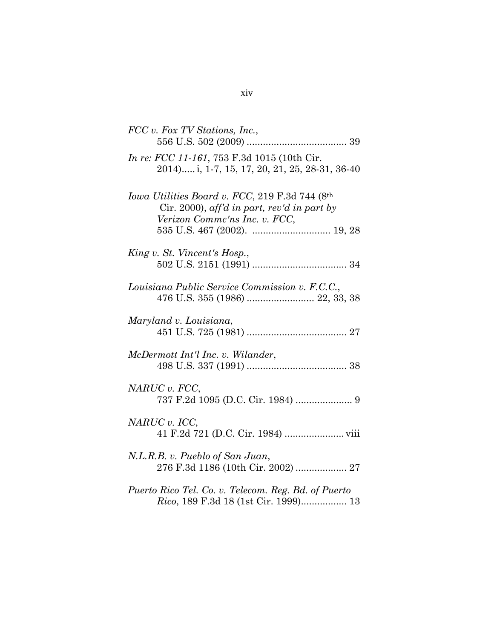| FCC v. Fox TV Stations, Inc.,                                                                                                  |
|--------------------------------------------------------------------------------------------------------------------------------|
| <i>In re: FCC 11-161</i> , 753 F.3d 1015 (10th Cir.<br>2014) i, 1-7, 15, 17, 20, 21, 25, 28-31, 36-40                          |
| Iowa Utilities Board v. FCC, 219 F.3d 744 (8th<br>Cir. 2000), aff'd in part, rev'd in part by<br>Verizon Commc'ns Inc. v. FCC, |
| King v. St. Vincent's Hosp.,                                                                                                   |
| Louisiana Public Service Commission v. F.C.C.,                                                                                 |
| Maryland v. Louisiana,                                                                                                         |
| McDermott Int'l Inc. v. Wilander,                                                                                              |
| NARUC v. FCC,                                                                                                                  |
| NARUC v. ICC,                                                                                                                  |
| N.L.R.B. v. Pueblo of San Juan,<br>276 F.3d 1186 (10th Cir. 2002)  27                                                          |
| Puerto Rico Tel. Co. v. Telecom. Reg. Bd. of Puerto<br>Rico, 189 F.3d 18 (1st Cir. 1999) 13                                    |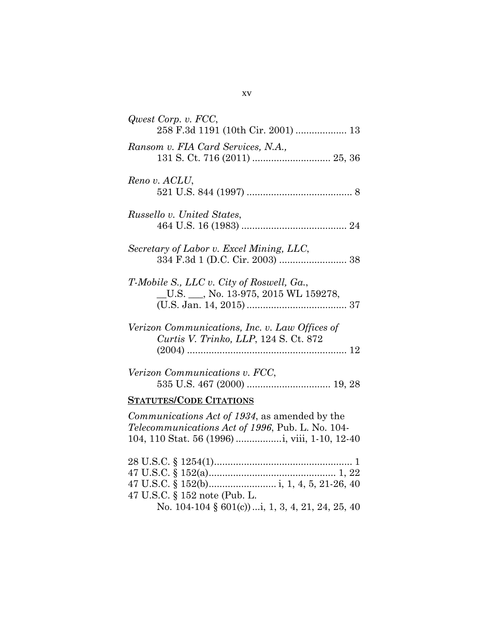| Qwest Corp. v. FCC,<br>258 F.3d 1191 (10th Cir. 2001)  13                                                                             |
|---------------------------------------------------------------------------------------------------------------------------------------|
| Ransom v. FIA Card Services, N.A.,                                                                                                    |
| Reno v. ACLU,                                                                                                                         |
| Russello v. United States,                                                                                                            |
| Secretary of Labor v. Excel Mining, LLC,                                                                                              |
| T-Mobile S., LLC v. City of Roswell, Ga.,<br>$\underline{\hspace{1cm}}$ U.S. $\underline{\hspace{1cm}}$ , No. 13-975, 2015 WL 159278, |
| Verizon Communications, Inc. v. Law Offices of<br>Curtis V. Trinko, LLP, 124 S. Ct. 872                                               |
| Verizon Communications v. FCC,                                                                                                        |
| <b>STATUTES/CODE CITATIONS</b>                                                                                                        |
| Communications Act of 1934, as amended by the<br>Telecommunications Act of 1996, Pub. L. No. 104-                                     |
| 47 U.S.C. § 152 note (Pub. L.<br>No. 104-104 § 601(c))i, 1, 3, 4, 21, 24, 25, 40                                                      |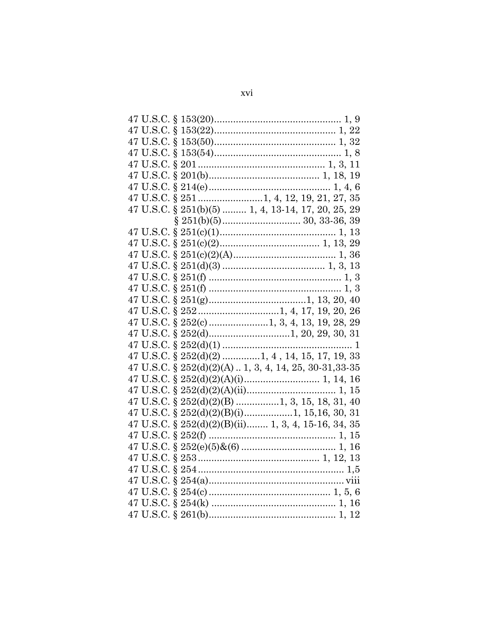| 47 U.S.C. § 251(b)(5)  1, 4, 13-14, 17, 20, 25, 29      |
|---------------------------------------------------------|
|                                                         |
|                                                         |
|                                                         |
|                                                         |
|                                                         |
|                                                         |
|                                                         |
|                                                         |
|                                                         |
|                                                         |
|                                                         |
|                                                         |
| 47 U.S.C. $\S 252(d)(2)$ 1, 4, 14, 15, 17, 19, 33       |
| 47 U.S.C. § 252(d)(2)(A)  1, 3, 4, 14, 25, 30-31, 33-35 |
|                                                         |
|                                                         |
| 47 U.S.C. $\S$ 252(d)(2)(B) 1, 3, 15, 18, 31, 40        |
|                                                         |
| 47 U.S.C. § 252(d)(2)(B)(ii) 1, 3, 4, 15-16, 34, 35     |
|                                                         |
|                                                         |
|                                                         |
|                                                         |
|                                                         |
|                                                         |
|                                                         |
|                                                         |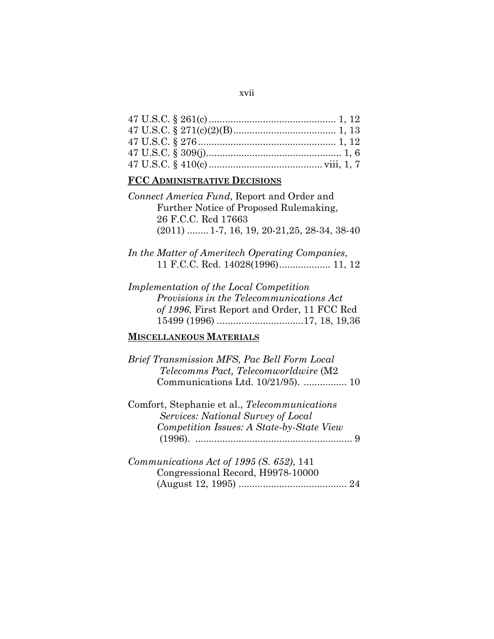| ۰. | ۰. |
|----|----|
|    |    |

## **FCC ADMINISTRATIVE DECISIONS**

| Connect America Fund, Report and Order and    |  |
|-----------------------------------------------|--|
| Further Notice of Proposed Rulemaking,        |  |
| 26 F.C.C. Red 17663                           |  |
| $(2011)$ 1-7, 16, 19, 20-21, 25, 28-34, 38-40 |  |

- *In the Matter of Ameritech Operating Companies*, 11 F.C.C. Rcd. 14028(1996) ................... 11, 12
- *Implementation of the Local Competition Provisions in the Telecommunications Act of 1996*, First Report and Order, 11 FCC Rcd 15499 (1996) ................................ 17, 18, 19,36

## **MISCELLANEOUS MATERIALS**

*Brief Transmission MFS, Pac Bell Form Local Telecomms Pact, Telecomworldwire* (M2 Communications Ltd. 10/21/95). ................ 10

Comfort, Stephanie et al., *Telecommunications Services: National Survey of Local Competition Issues: A State-by-State View* (1996). .......................................................... 9

*Communications Act of 1995 (S. 652)*, 141 Congressional Record, H9978-10000 (August 12, 1995) ........................................ 24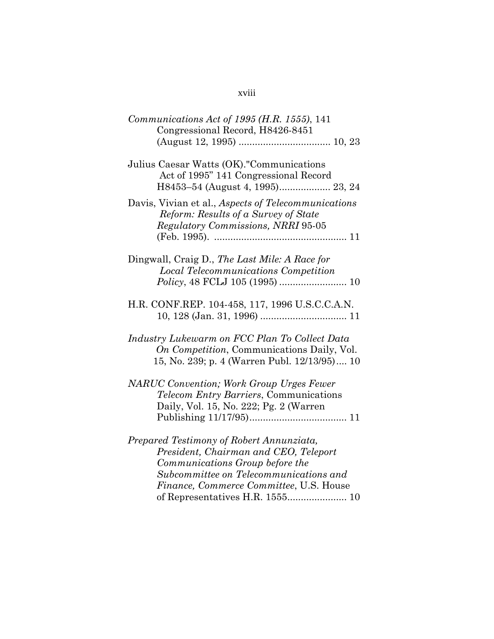## xviii

| $Communications$ Act of 1995 (H.R. 1555), 141<br>Congressional Record, H8426-8451                                                                                                                                                            |
|----------------------------------------------------------------------------------------------------------------------------------------------------------------------------------------------------------------------------------------------|
| Julius Caesar Watts (OK)."Communications<br>Act of 1995" 141 Congressional Record                                                                                                                                                            |
| Davis, Vivian et al., Aspects of Telecommunications<br>Reform: Results of a Survey of State<br>Regulatory Commissions, NRRI 95-05                                                                                                            |
| Dingwall, Craig D., The Last Mile: A Race for<br><b>Local Telecommunications Competition</b>                                                                                                                                                 |
| H.R. CONF.REP. 104-458, 117, 1996 U.S.C.C.A.N.                                                                                                                                                                                               |
| Industry Lukewarm on FCC Plan To Collect Data<br>On Competition, Communications Daily, Vol.<br>15, No. 239; p. 4 (Warren Publ. 12/13/95) 10                                                                                                  |
| <b>NARUC</b> Convention; Work Group Urges Fewer<br>Telecom Entry Barriers, Communications<br>Daily, Vol. 15, No. 222; Pg. 2 (Warren                                                                                                          |
| Prepared Testimony of Robert Annunziata,<br>President, Chairman and CEO, Teleport<br>Communications Group before the<br>Subcommittee on Telecommunications and<br>Finance, Commerce Committee, U.S. House<br>of Representatives H.R. 1555 10 |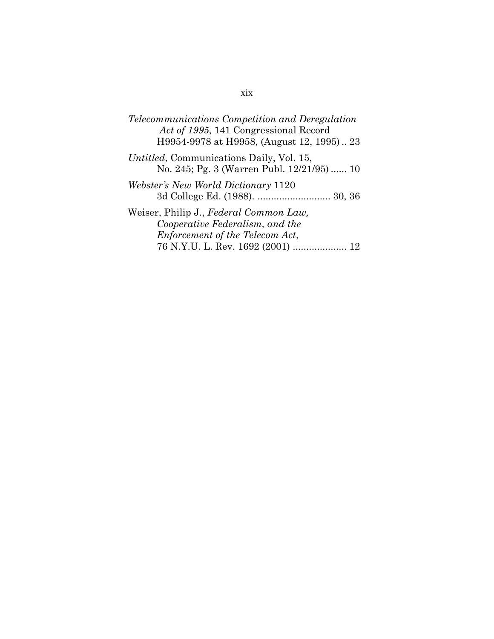| Telecommunications Competition and Deregulation  |
|--------------------------------------------------|
| Act of 1995, 141 Congressional Record            |
| H9954-9978 at H9958, (August 12, 1995) 23        |
| <i>Untitled</i> , Communications Daily, Vol. 15, |
| No. 245; Pg. 3 (Warren Publ. 12/21/95)  10       |

*Webster's New World Dictionary* 1120 3d College Ed. (1988). ........................... 30, 36

Weiser, Philip J., *Federal Common Law, Cooperative Federalism, and the Enforcement of the Telecom Act*, 76 N.Y.U. L. Rev. 1692 (2001) .................... 12

## xix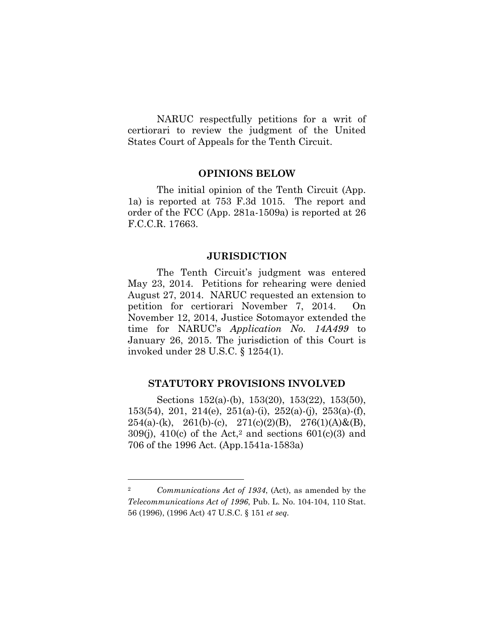NARUC respectfully petitions for a writ of certiorari to review the judgment of the United States Court of Appeals for the Tenth Circuit.

#### **OPINIONS BELOW**

The initial opinion of the Tenth Circuit (App. 1a) is reported at 753 F.3d 1015. The report and order of the FCC (App. 281a-1509a) is reported at 26 F.C.C.R. 17663.

#### **JURISDICTION**

The Tenth Circuit's judgment was entered May 23, 2014. Petitions for rehearing were denied August 27, 2014. NARUC requested an extension to petition for certiorari November 7, 2014. On November 12, 2014, Justice Sotomayor extended the time for NARUC's *Application No. 14A499* to January 26, 2015. The jurisdiction of this Court is invoked under 28 U.S.C. § 1254(1).

#### **STATUTORY PROVISIONS INVOLVED**

Sections 152(a)-(b), 153(20), 153(22), 153(50), 153(54), 201, 214(e), 251(a)-(i), 252(a)-(j), 253(a)-(f),  $254(a)-(k)$ ,  $261(b)-(c)$ ,  $271(c)(2)(B)$ ,  $276(1)(A) \& (B)$ ,  $309(j)$ ,  $410(c)$  of the Act,<sup>2</sup> and sections  $601(c)(3)$  and 706 of the 1996 Act. (App.1541a-1583a)

<sup>2</sup> *Communications Act of 1934*, (Act), as amended by the *Telecommunications Act of 1996*, Pub. L. No. 104-104, 110 Stat. 56 (1996), (1996 Act) 47 U.S.C. § 151 *et seq.*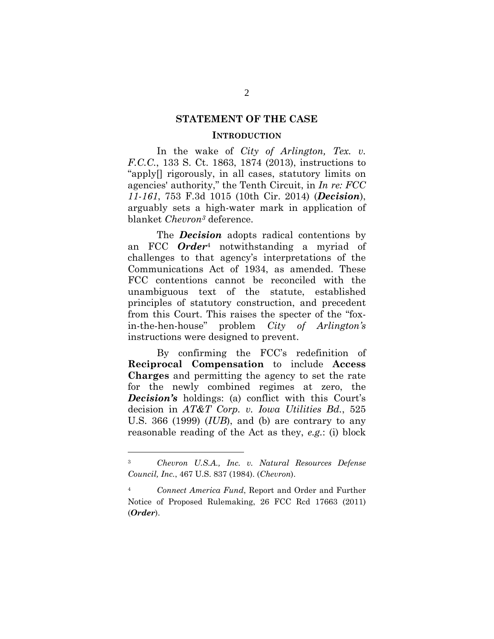#### **STATEMENT OF THE CASE**

#### **INTRODUCTION**

In the wake of *City of Arlington, Tex. v. F.C.C.*, 133 S. Ct. 1863, 1874 (2013), instructions to "apply[] rigorously, in all cases, statutory limits on agencies' authority," the Tenth Circuit, in *In re: FCC 11-161*, 753 F.3d 1015 (10th Cir. 2014) (*Decision*), arguably sets a high-water mark in application of blanket *Chevron3* deference.

The *Decision* adopts radical contentions by an FCC *Order*4 notwithstanding a myriad of challenges to that agency's interpretations of the Communications Act of 1934, as amended. These FCC contentions cannot be reconciled with the unambiguous text of the statute, established principles of statutory construction, and precedent from this Court. This raises the specter of the "foxin-the-hen-house" problem *City of Arlington's* instructions were designed to prevent.

By confirming the FCC's redefinition of **Reciprocal Compensation** to include **Access Charges** and permitting the agency to set the rate for the newly combined regimes at zero, the *Decision's* holdings: (a) conflict with this Court's decision in *AT&T Corp. v. Iowa Utilities Bd.*, 525 U.S. 366 (1999) (*IUB*), and (b) are contrary to any reasonable reading of the Act as they, *e.g.*: (i) block

<sup>3</sup>*Chevron U.S.A., Inc. v. Natural Resources Defense Council, Inc.*, 467 U.S. 837 (1984). (*Chevron*).

<sup>4</sup>*Connect America Fund*, Report and Order and Further Notice of Proposed Rulemaking, 26 FCC Rcd 17663 (2011) (*Order*).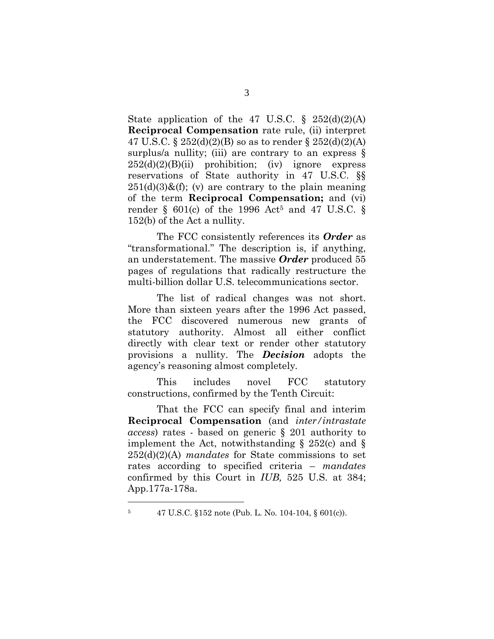State application of the 47 U.S.C.  $\S$  252(d)(2)(A) **Reciprocal Compensation** rate rule, (ii) interpret 47 U.S.C. §  $252(d)(2)(B)$  so as to render §  $252(d)(2)(A)$ surplus/a nullity; (iii) are contrary to an express  $\S$  $252(d)(2)(B)(ii)$  prohibition; (iv) ignore express reservations of State authority in 47 U.S.C. §§  $251(d)(3)$ &(f); (v) are contrary to the plain meaning of the term **Reciprocal Compensation;** and (vi) render § 601(c) of the 1996 Act<sup>5</sup> and 47 U.S.C. § 152(b) of the Act a nullity.

The FCC consistently references its *Order* as "transformational." The description is, if anything, an understatement. The massive *Order* produced 55 pages of regulations that radically restructure the multi-billion dollar U.S. telecommunications sector.

The list of radical changes was not short. More than sixteen years after the 1996 Act passed, the FCC discovered numerous new grants of statutory authority. Almost all either conflict directly with clear text or render other statutory provisions a nullity. The *Decision* adopts the agency's reasoning almost completely*.* 

This includes novel FCC statutory constructions, confirmed by the Tenth Circuit:

That the FCC can specify final and interim **Reciprocal Compensation** (and *inter/intrastate access*) rates - based on generic § 201 authority to implement the Act, notwithstanding  $\S$  252(c) and  $\S$ 252(d)(2)(A) *mandates* for State commissions to set rates according to specified criteria – *mandates* confirmed by this Court in *IUB,* 525 U.S. at 384; App.177a-178a.

<sup>5 47</sup> U.S.C. §152 note (Pub. L. No. 104-104, § 601(c)).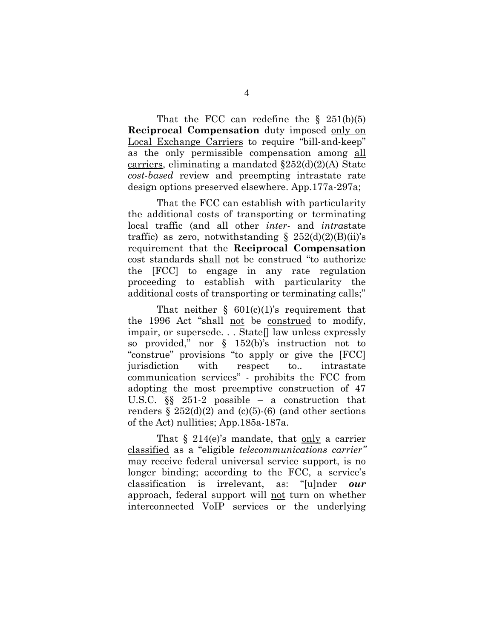That the FCC can redefine the  $\S$  251(b)(5) **Reciprocal Compensation** duty imposed only on Local Exchange Carriers to require "bill-and-keep" as the only permissible compensation among all carriers, eliminating a mandated  $\S252(d)(2)(A)$  State *cost-based* review and preempting intrastate rate design options preserved elsewhere. App.177a-297a;

That the FCC can establish with particularity the additional costs of transporting or terminating local traffic (and all other *inter-* and *intra*state traffic) as zero, notwithstanding  $\S$  252(d)(2)(B)(ii)'s requirement that the **Reciprocal Compensation** cost standards shall not be construed "to authorize the [FCC] to engage in any rate regulation proceeding to establish with particularity the additional costs of transporting or terminating calls;"

That neither  $\S$  601(c)(1)'s requirement that the 1996 Act "shall not be construed to modify, impair, or supersede. . . State[] law unless expressly so provided," nor § 152(b)'s instruction not to "construe" provisions "to apply or give the [FCC] jurisdiction with respect to.. intrastate communication services" - prohibits the FCC from adopting the most preemptive construction of 47 U.S.C. §§ 251-2 possible – a construction that renders  $\S 252(d)(2)$  and (c)(5)-(6) (and other sections of the Act) nullities; App.185a-187a.

That  $\S$  214(e)'s mandate, that only a carrier classified as a "eligible *telecommunications carrier"*  may receive federal universal service support, is no longer binding; according to the FCC, a service's classification is irrelevant, as: "[u]nder *our* approach, federal support will not turn on whether interconnected VoIP services or the underlying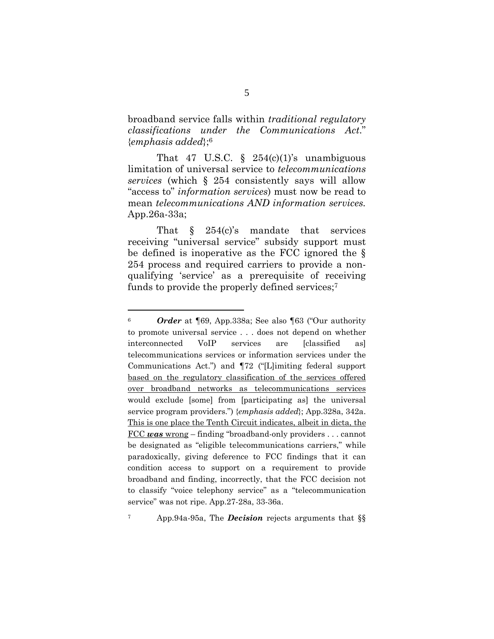broadband service falls within *traditional regulatory classifications under the Communications Act*." {*emphasis added*};6

That 47 U.S.C.  $\S$  254(c)(1)'s unambiguous limitation of universal service to *telecommunications services* (which § 254 consistently says will allow "access to" *information services*) must now be read to mean *telecommunications AND information services.* App.26a-33a;

That  $\S$  254(c)'s mandate that services receiving "universal service" subsidy support must be defined is inoperative as the FCC ignored the § 254 process and required carriers to provide a nonqualifying 'service' as a prerequisite of receiving funds to provide the properly defined services;7

<sup>6</sup>*Order* at ¶69, App.338a; See also ¶63 ("Our authority to promote universal service . . . does not depend on whether interconnected VoIP services are [classified as] telecommunications services or information services under the Communications Act.") and ¶72 ("[L]imiting federal support based on the regulatory classification of the services offered over broadband networks as telecommunications services would exclude [some] from [participating as] the universal service program providers.") {*emphasis added*}; App.328a, 342a. This is one place the Tenth Circuit indicates, albeit in dicta, the FCC *was* wrong – finding "broadband-only providers . . . cannot be designated as "eligible telecommunications carriers," while paradoxically, giving deference to FCC findings that it can condition access to support on a requirement to provide broadband and finding, incorrectly, that the FCC decision not to classify "voice telephony service" as a "telecommunication service" was not ripe. App.27-28a, 33-36a.

<sup>7</sup> App.94a-95a, The *Decision* rejects arguments that §§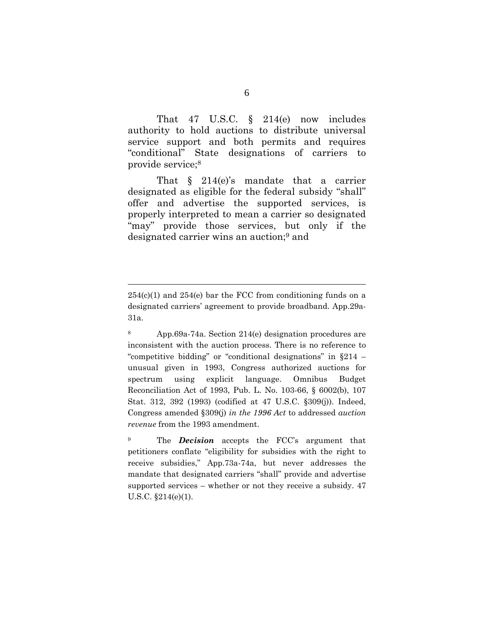That 47 U.S.C. § 214(e) now includes authority to hold auctions to distribute universal service support and both permits and requires "conditional" State designations of carriers to provide service;8

That § 214(e)'s mandate that a carrier designated as eligible for the federal subsidy "shall" offer and advertise the supported services, is properly interpreted to mean a carrier so designated "may" provide those services, but only if the designated carrier wins an auction;9 and

 $254(c)(1)$  and  $254(e)$  bar the FCC from conditioning funds on a designated carriers' agreement to provide broadband. App.29a-31a.

<sup>8</sup> App.69a-74a. Section 214(e) designation procedures are inconsistent with the auction process. There is no reference to "competitive bidding" or "conditional designations" in §214 – unusual given in 1993, Congress authorized auctions for spectrum using explicit language. Omnibus Budget Reconciliation Act of 1993, Pub. L. No. 103-66, § 6002(b), 107 Stat. 312, 392 (1993) (codified at 47 U.S.C. §309(j)). Indeed, Congress amended §309(j) *in the 1996 Act* to addressed *auction revenue* from the 1993 amendment.

<sup>9</sup> The *Decision* accepts the FCC's argument that petitioners conflate "eligibility for subsidies with the right to receive subsidies," App.73a-74a, but never addresses the mandate that designated carriers "shall" provide and advertise supported services – whether or not they receive a subsidy. 47 U.S.C. §214(e)(1).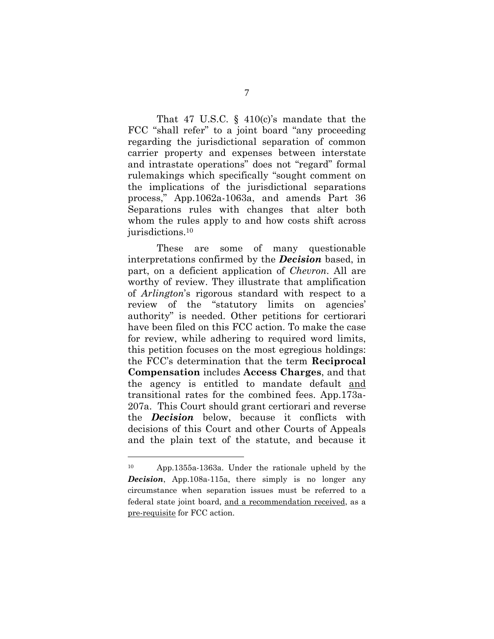That 47 U.S.C.  $\S$  410(c)'s mandate that the FCC "shall refer" to a joint board "any proceeding regarding the jurisdictional separation of common carrier property and expenses between interstate and intrastate operations" does not "regard" formal rulemakings which specifically "sought comment on the implications of the jurisdictional separations process," App.1062a-1063a, and amends Part 36 Separations rules with changes that alter both whom the rules apply to and how costs shift across jurisdictions.10

These are some of many questionable interpretations confirmed by the *Decision* based, in part, on a deficient application of *Chevron*. All are worthy of review. They illustrate that amplification of *Arlington*'s rigorous standard with respect to a review of the "statutory limits on agencies' authority" is needed. Other petitions for certiorari have been filed on this FCC action. To make the case for review, while adhering to required word limits, this petition focuses on the most egregious holdings: the FCC's determination that the term **Reciprocal Compensation** includes **Access Charges**, and that the agency is entitled to mandate default and transitional rates for the combined fees. App.173a-207a. This Court should grant certiorari and reverse the *Decision* below, because it conflicts with decisions of this Court and other Courts of Appeals and the plain text of the statute, and because it

<sup>10</sup> App.1355a-1363a. Under the rationale upheld by the *Decision*, App.108a-115a, there simply is no longer any circumstance when separation issues must be referred to a federal state joint board, and a recommendation received, as a pre-requisite for FCC action.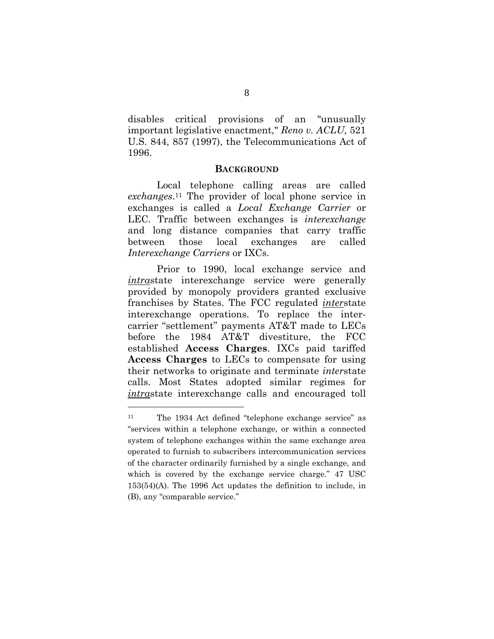disables critical provisions of an "unusually important legislative enactment," *Reno v. ACLU,* 521 U.S. 844, 857 (1997), the Telecommunications Act of 1996.

#### **BACKGROUND**

Local telephone calling areas are called *exchanges*.11 The provider of local phone service in exchanges is called a *Local Exchange Carrier* or LEC. Traffic between exchanges is *interexchange* and long distance companies that carry traffic between those local exchanges are called *Interexchange Carriers* or IXCs.

Prior to 1990, local exchange service and *intra*state interexchange service were generally provided by monopoly providers granted exclusive franchises by States. The FCC regulated *inter*state interexchange operations. To replace the intercarrier "settlement" payments AT&T made to LECs before the 1984 AT&T divestiture, the FCC established **Access Charges**. IXCs paid tariffed **Access Charges** to LECs to compensate for using their networks to originate and terminate *inter*state calls. Most States adopted similar regimes for *intra*state interexchange calls and encouraged toll

<sup>11</sup> The 1934 Act defined "telephone exchange service" as "services within a telephone exchange, or within a connected system of telephone exchanges within the same exchange area operated to furnish to subscribers intercommunication services of the character ordinarily furnished by a single exchange, and which is covered by the exchange service charge." 47 USC 153(54)(A). The 1996 Act updates the definition to include, in (B), any "comparable service."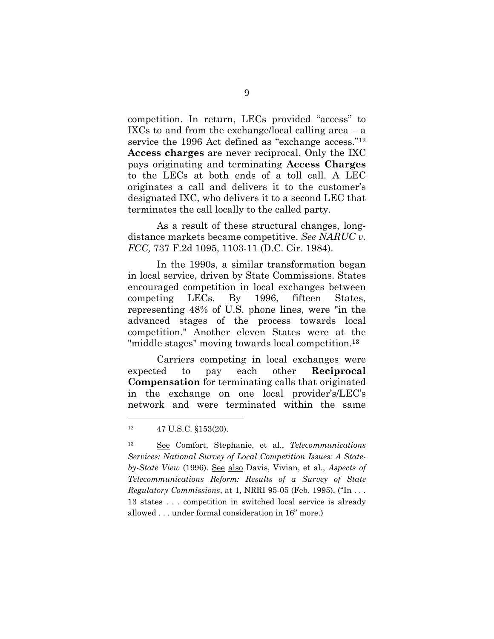competition. In return, LECs provided "access" to IXCs to and from the exchange/local calling area  $-$  a service the 1996 Act defined as "exchange access."<sup>12</sup> **Access charges** are never reciprocal. Only the IXC pays originating and terminating **Access Charges** to the LECs at both ends of a toll call. A LEC originates a call and delivers it to the customer's designated IXC, who delivers it to a second LEC that terminates the call locally to the called party.

As a result of these structural changes, longdistance markets became competitive. *See NARUC v. FCC,* 737 F.2d 1095, 1103-11 (D.C. Cir. 1984).

In the 1990s, a similar transformation began in local service, driven by State Commissions. States encouraged competition in local exchanges between competing LECs. By 1996, fifteen States, representing 48% of U.S. phone lines, were "in the advanced stages of the process towards local competition." Another eleven States were at the "middle stages" moving towards local competition.**<sup>13</sup>**

Carriers competing in local exchanges were expected to pay each other **Reciprocal Compensation** for terminating calls that originated in the exchange on one local provider's/LEC's network and were terminated within the same

<sup>12 47</sup> U.S.C. §153(20).

<sup>13</sup> See Comfort, Stephanie, et al., *Telecommunications Services: National Survey of Local Competition Issues: A Stateby-State View* (1996). See also Davis, Vivian, et al., *Aspects of Telecommunications Reform: Results of a Survey of State Regulatory Commissions*, at 1, NRRI 95-05 (Feb. 1995), ("In . . . 13 states . . . competition in switched local service is already allowed . . . under formal consideration in 16" more.)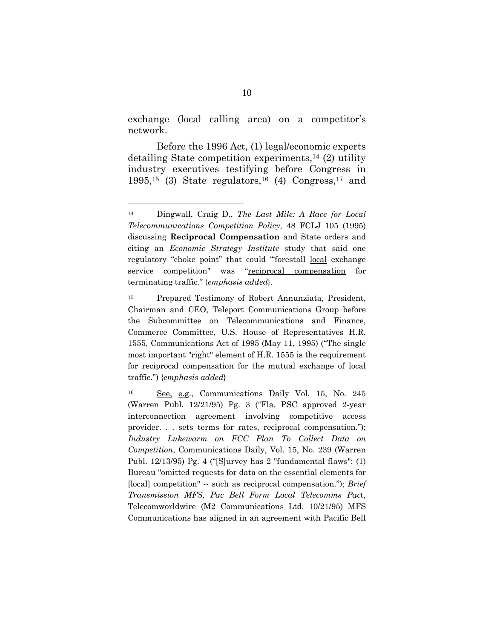exchange (local calling area) on a competitor's network.

Before the 1996 Act, (1) legal/economic experts detailing State competition experiments,14 (2) utility industry executives testifying before Congress in  $1995$ ,<sup>15</sup> (3) State regulators,<sup>16</sup> (4) Congress,<sup>17</sup> and

<sup>14</sup> Dingwall, Craig D., *The Last Mile: A Race for Local Telecommunications Competition Policy*, 48 FCLJ 105 (1995) discussing **Reciprocal Compensation** and State orders and citing an *Economic Strategy Institute* study that said one regulatory "choke point" that could "forestall local exchange service competition" was "reciprocal compensation for terminating traffic." {*emphasis added*}.

<sup>15</sup> Prepared Testimony of Robert Annunziata, President, Chairman and CEO, Teleport Communications Group before the Subcommittee on Telecommunications and Finance, Commerce Committee, U.S. House of Representatives H.R. 1555, Communications Act of 1995 (May 11, 1995) ("The single most important "right" element of H.R. 1555 is the requirement for reciprocal compensation for the mutual exchange of local traffic.") {*emphasis added*}

<sup>16</sup> See, e.g., Communications Daily Vol. 15, No. 245 (Warren Publ. 12/21/95) Pg. 3 ("Fla. PSC approved 2-year interconnection agreement involving competitive access provider. . . sets terms for rates, reciprocal compensation."); *Industry Lukewarm on FCC Plan To Collect Data on Competition*, Communications Daily, Vol. 15, No. 239 (Warren Publ. 12/13/95) Pg. 4 ("[S]urvey has 2 "fundamental flaws": (1) Bureau "omitted requests for data on the essential elements for [local] competition" -- such as reciprocal compensation."); *Brief Transmission MFS, Pac Bell Form Local Telecomms Pac*t, Telecomworldwire (M2 Communications Ltd. 10/21/95) MFS Communications has aligned in an agreement with Pacific Bell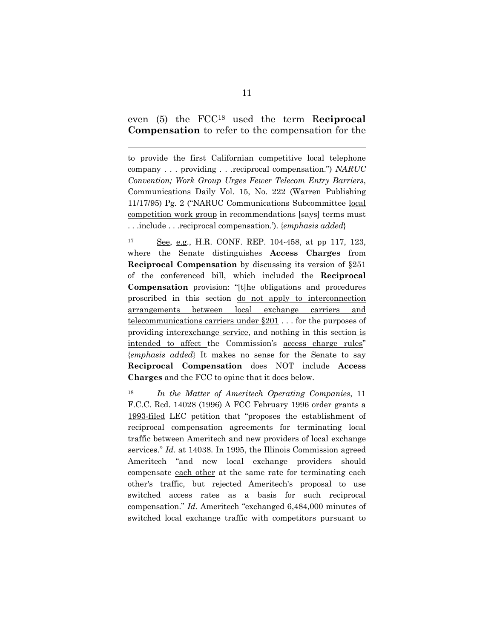even (5) the FCC18 used the term R**eciprocal Compensation** to refer to the compensation for the

 $\overline{a}$ 

to provide the first Californian competitive local telephone company . . . providing . . .reciprocal compensation.") *NARUC Convention; Work Group Urges Fewer Telecom Entry Barriers*, Communications Daily Vol. 15, No. 222 (Warren Publishing 11/17/95) Pg. 2 ("NARUC Communications Subcommittee local competition work group in recommendations [says] terms must . . .include . . .reciprocal compensation.'). {*emphasis added*}

17 See, e.g., H.R. CONF. REP. 104-458, at pp 117, 123, where the Senate distinguishes **Access Charges** from **Reciprocal Compensation** by discussing its version of §251 of the conferenced bill, which included the **Reciprocal Compensation** provision: "[t]he obligations and procedures proscribed in this section do not apply to interconnection arrangements between local exchange carriers and telecommunications carriers under §201 . . . for the purposes of providing interexchange service, and nothing in this section is intended to affect the Commission's access charge rules" {*emphasis added*} It makes no sense for the Senate to say **Reciprocal Compensation** does NOT include **Access Charges** and the FCC to opine that it does below.

<sup>18</sup>*In the Matter of Ameritech Operating Companies*, 11 F.C.C. Rcd. 14028 (1996) A FCC February 1996 order grants a 1993-filed LEC petition that "proposes the establishment of reciprocal compensation agreements for terminating local traffic between Ameritech and new providers of local exchange services." *Id.* at 14038. In 1995, the Illinois Commission agreed Ameritech "and new local exchange providers should compensate each other at the same rate for terminating each other's traffic, but rejected Ameritech's proposal to use switched access rates as a basis for such reciprocal compensation." *Id.* Ameritech "exchanged 6,484,000 minutes of switched local exchange traffic with competitors pursuant to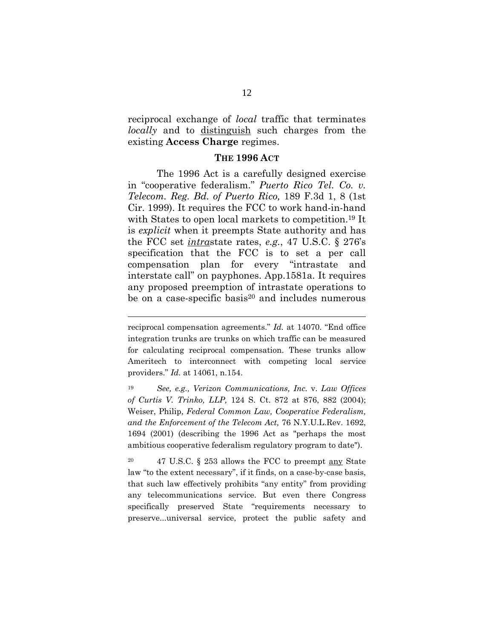reciprocal exchange of *local* traffic that terminates *locally* and to <u>distinguish</u> such charges from the existing **Access Charge** regimes.

#### **THE 1996 ACT**

The 1996 Act is a carefully designed exercise in "cooperative federalism." *Puerto Rico Tel. Co. v. Telecom. Reg. Bd. of Puerto Rico,* 189 F.3d 1, 8 (1st Cir. 1999). It requires the FCC to work hand-in-hand with States to open local markets to competition.<sup>19</sup> It is *explicit* when it preempts State authority and has the FCC set *intra*state rates, *e.g.*, 47 U.S.C. § 276's specification that the FCC is to set a per call compensation plan for every "intrastate and interstate call" on payphones. App.1581a. It requires any proposed preemption of intrastate operations to be on a case-specific basis<sup>20</sup> and includes numerous

reciprocal compensation agreements." *Id.* at 14070. "End office integration trunks are trunks on which traffic can be measured for calculating reciprocal compensation. These trunks allow Ameritech to interconnect with competing local service providers." *Id.* at 14061, n.154.

<sup>19</sup> *See, e.g., Verizon Communications, Inc.* v. *Law Offices of Curtis V. Trinko, LLP,* 124 S. Ct. 872 at 876, 882 (2004); Weiser, Philip, *Federal Common Law, Cooperative Federalism, and the Enforcement of the Telecom Act,* 76 N.Y.U.L.Rev. 1692, 1694 (2001) (describing the 1996 Act as "perhaps the most ambitious cooperative federalism regulatory program to date").

<sup>20 47</sup> U.S.C. § 253 allows the FCC to preempt any State law "to the extent necessary", if it finds, on a case-by-case basis, that such law effectively prohibits "any entity" from providing any telecommunications service. But even there Congress specifically preserved State "requirements necessary to preserve...universal service, protect the public safety and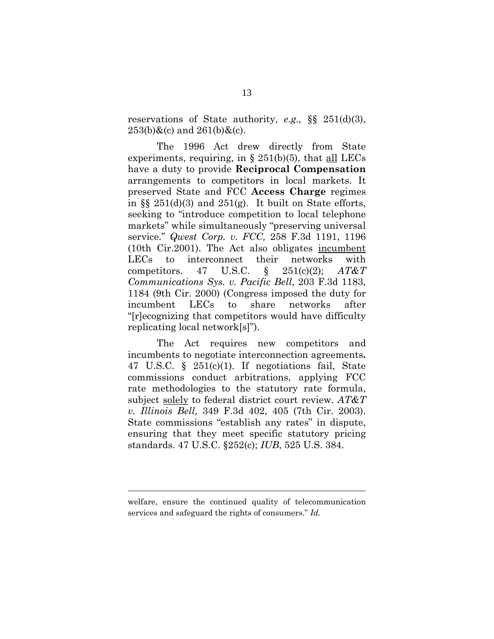reservations of State authority, *e.g.,* §§ 251(d)(3),  $253(b)$ &(c) and  $261(b)$ &(c).

The 1996 Act drew directly from State experiments, requiring, in  $\S 251(b)(5)$ , that all LECs have a duty to provide **Reciprocal Compensation** arrangements to competitors in local markets. It preserved State and FCC **Access Charge** regimes in  $\S$  251(d)(3) and 251(g). It built on State efforts, seeking to "introduce competition to local telephone markets" while simultaneously "preserving universal service." *Qwest Corp. v. FCC,* 258 F.3d 1191, 1196 (10th Cir.2001). The Act also obligates incumbent LECs to interconnect their networks with competitors. 47 U.S.C. § 251(c)(2); *AT&T Communications Sys. v. Pacific Bell*, 203 F.3d 1183, 1184 (9th Cir. 2000) (Congress imposed the duty for incumbent LECs to share networks after "[r]ecognizing that competitors would have difficulty replicating local network[s]").

The Act requires new competitors and incumbents to negotiate interconnection agreements**.** 47 U.S.C. § 251(c)(1). If negotiations fail, State commissions conduct arbitrations, applying FCC rate methodologies to the statutory rate formula, subject solely to federal district court review. *AT&T v. Illinois Bell,* 349 F.3d 402, 405 (7th Cir. 2003). State commissions "establish any rates" in dispute, ensuring that they meet specific statutory pricing standards. 47 U.S.C. §252(c); *IUB*, 525 U.S. 384.

welfare, ensure the continued quality of telecommunication services and safeguard the rights of consumers." *Id.*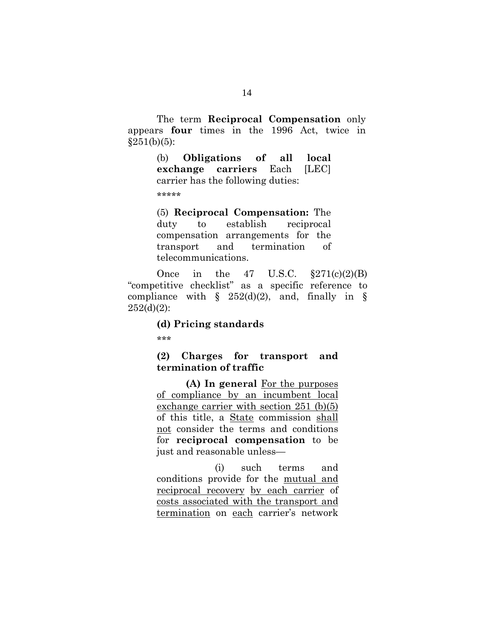The term **Reciprocal Compensation** only appears **four** times in the 1996 Act, twice in  $§251(b)(5):$ 

> (b) **Obligations of all local exchange carriers** Each [LEC] carrier has the following duties:

\*\*\*\*\*

(5) **Reciprocal Compensation:** The duty to establish reciprocal compensation arrangements for the transport and termination of telecommunications.

Once in the  $47 \text{ U.S.C. } \S 271(c)(2)(B)$ "competitive checklist" as a specific reference to compliance with  $\S$  252(d)(2), and, finally in  $\S$  $252(d)(2)$ :

#### **(d) Pricing standards**

\*\*\*

## **(2) Charges for transport and termination of traffic**

 **(A) In general** For the purposes of compliance by an incumbent local exchange carrier with section 251 (b)(5) of this title, a State commission shall not consider the terms and conditions for **reciprocal compensation** to be just and reasonable unless—

(i) such terms and conditions provide for the mutual and reciprocal recovery by each carrier of costs associated with the transport and termination on each carrier's network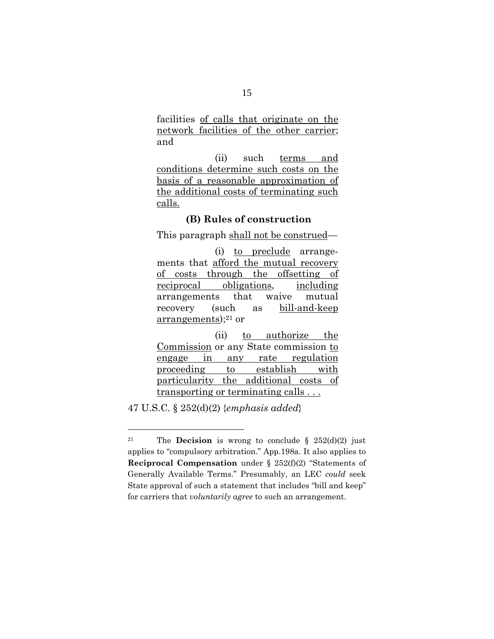facilities of calls that originate on the network facilities of the other carrier; and

 (ii) such terms and conditions determine such costs on the basis of a reasonable approximation of the additional costs of terminating such calls.

## **(B) Rules of construction**

This paragraph shall not be construed—

 (i) to preclude arrangements that afford the mutual recovery of costs through the offsetting of reciprocal obligations, including arrangements that waive mutual recovery (such as bill-and-keep  $arrangements$ ;<sup>21</sup> or

 (ii) to authorize the Commission or any State commission to engage in any rate regulation proceeding to establish with particularity the additional costs of transporting or terminating calls . . .

47 U.S.C. § 252(d)(2) {*emphasis added*}

<sup>&</sup>lt;sup>21</sup> The **Decision** is wrong to conclude  $\frac{252(d)(2)}{d}$  just applies to "compulsory arbitration." App.198a. It also applies to **Reciprocal Compensation** under § 252(f)(2) "Statements of Generally Available Terms." Presumably, an LEC *could* seek State approval of such a statement that includes "bill and keep" for carriers that *voluntarily agree* to such an arrangement.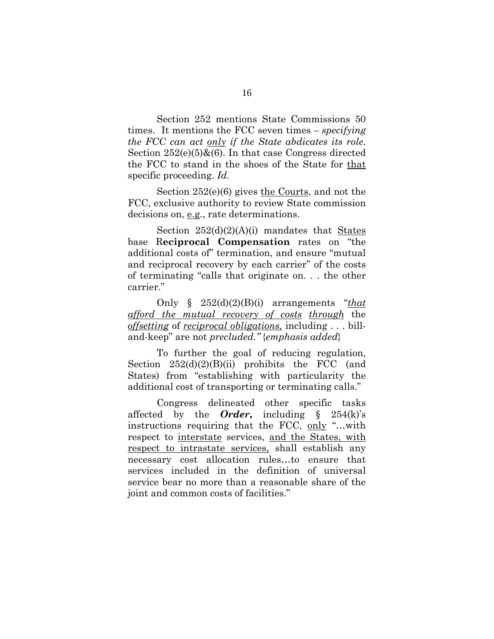Section 252 mentions State Commissions 50 times. It mentions the FCC seven times *– specifying the FCC can act only if the State abdicates its role*. Section  $252(e)(5)$ & $(6)$ . In that case Congress directed the FCC to stand in the shoes of the State for that specific proceeding. *Id.* 

Section 252(e)(6) gives the Courts, and not the FCC, exclusive authority to review State commission decisions on, e.g., rate determinations.

Section  $252(d)(2)(A)(i)$  mandates that States base R**eciprocal Compensation** rates on "the additional costs of" termination, and ensure "mutual and reciprocal recovery by each carrier" of the costs of terminating "calls that originate on. . . the other carrier."

Only § 252(d)(2)(B)(i) arrangements "*that afford the mutual recovery of costs through* the *offsetting* of *reciprocal obligations,* including . . . billand-keep" are not *precluded."* {*emphasis added*}

To further the goal of reducing regulation, Section  $252(d)(2)(B)(ii)$  prohibits the FCC (and States) from "establishing with particularity the additional cost of transporting or terminating calls."

Congress delineated other specific tasks affected by the *Order***,** including § 254(k)'s instructions requiring that the FCC, only "…with respect to interstate services, and the States, with respect to intrastate services, shall establish any necessary cost allocation rules…to ensure that services included in the definition of universal service bear no more than a reasonable share of the joint and common costs of facilities."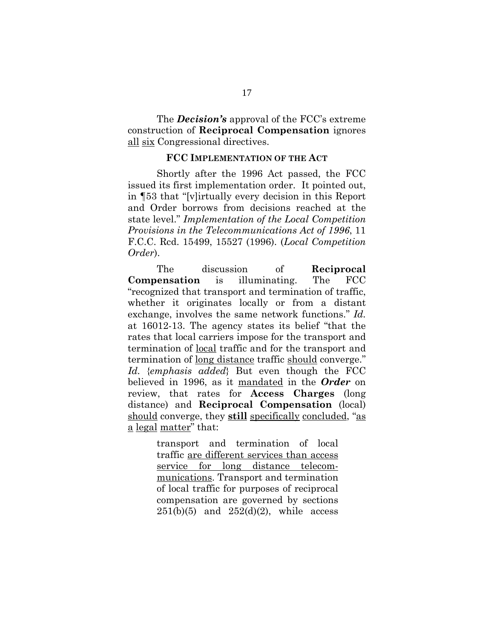The *Decision's* approval of the FCC's extreme construction of **Reciprocal Compensation** ignores all six Congressional directives.

#### **FCC IMPLEMENTATION OF THE ACT**

Shortly after the 1996 Act passed, the FCC issued its first implementation order. It pointed out, in ¶53 that "[v]irtually every decision in this Report and Order borrows from decisions reached at the state level." *Implementation of the Local Competition Provisions in the Telecommunications Act of 1996*, 11 F.C.C. Rcd. 15499, 15527 (1996). (*Local Competition Order*).

The discussion of **Reciprocal Compensation** is illuminating. The FCC "recognized that transport and termination of traffic, whether it originates locally or from a distant exchange, involves the same network functions." *Id.*  at 16012-13. The agency states its belief "that the rates that local carriers impose for the transport and termination of local traffic and for the transport and termination of long distance traffic should converge." *Id.* {*emphasis added*} But even though the FCC believed in 1996, as it mandated in the *Order* on review, that rates for **Access Charges** (long distance) and **Reciprocal Compensation** (local) should converge, they **still** specifically concluded, "as a legal matter" that:

> transport and termination of local traffic are different services than access service for long distance telecommunications. Transport and termination of local traffic for purposes of reciprocal compensation are governed by sections  $251(b)(5)$  and  $252(d)(2)$ , while access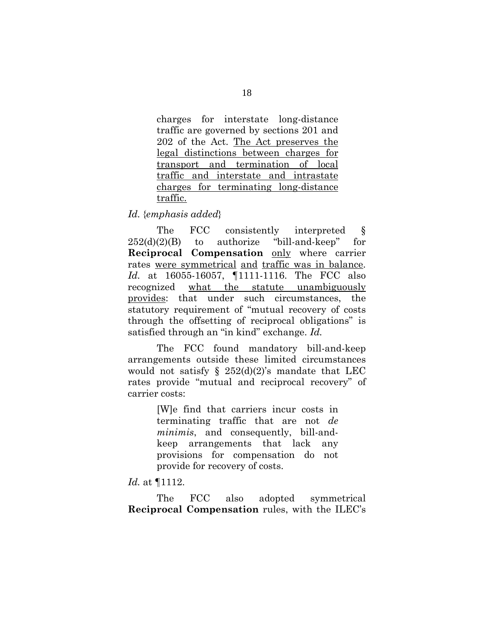charges for interstate long-distance traffic are governed by sections 201 and 202 of the Act. The Act preserves the legal distinctions between charges for transport and termination of local traffic and interstate and intrastate charges for terminating long-distance traffic.

## *Id.* {*emphasis added*}

The FCC consistently interpreted  $\S$  $252(d)(2)(B)$  to authorize "bill-and-keep" for **Reciprocal Compensation** only where carrier rates were symmetrical and traffic was in balance. *Id.* at 16055-16057, ¶1111-1116. The FCC also recognized what the statute unambiguously provides: that under such circumstances, the statutory requirement of "mutual recovery of costs through the offsetting of reciprocal obligations" is satisfied through an "in kind" exchange. *Id.*

The FCC found mandatory bill-and-keep arrangements outside these limited circumstances would not satisfy  $\S$  252(d)(2)'s mandate that LEC rates provide "mutual and reciprocal recovery" of carrier costs:

> [W]e find that carriers incur costs in terminating traffic that are not *de minimis*, and consequently, bill-andkeep arrangements that lack any provisions for compensation do not provide for recovery of costs.

## *Id.* at ¶1112.

The FCC also adopted symmetrical **Reciprocal Compensation** rules, with the ILEC's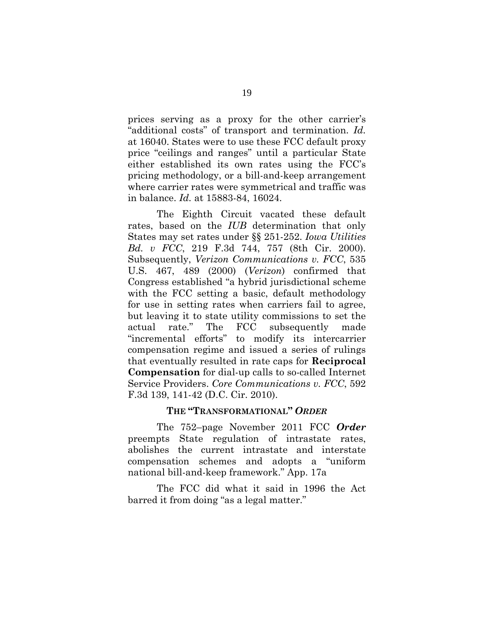prices serving as a proxy for the other carrier's "additional costs" of transport and termination. *Id.*  at 16040. States were to use these FCC default proxy price "ceilings and ranges" until a particular State either established its own rates using the FCC's pricing methodology, or a bill-and-keep arrangement where carrier rates were symmetrical and traffic was in balance. *Id.* at 15883-84, 16024.

The Eighth Circuit vacated these default rates, based on the *IUB* determination that only States may set rates under §§ 251-252. *Iowa Utilities Bd. v FCC*, 219 F.3d 744, 757 (8th Cir. 2000). Subsequently, *Verizon Communications v. FCC*, 535 U.S. 467, 489 (2000) (*Verizon*) confirmed that Congress established "a hybrid jurisdictional scheme with the FCC setting a basic, default methodology for use in setting rates when carriers fail to agree, but leaving it to state utility commissions to set the actual rate." The FCC subsequently made actual rate." The FCC subsequently made "incremental efforts" to modify its intercarrier compensation regime and issued a series of rulings that eventually resulted in rate caps for **Reciprocal Compensation** for dial-up calls to so-called Internet Service Providers. *Core Communications v. FCC*, 592 F.3d 139, 141-42 (D.C. Cir. 2010).

#### **THE "TRANSFORMATIONAL"** *ORDER*

The 752–page November 2011 FCC *Order* preempts State regulation of intrastate rates, abolishes the current intrastate and interstate compensation schemes and adopts a "uniform national bill-and-keep framework." App. 17a

The FCC did what it said in 1996 the Act barred it from doing "as a legal matter."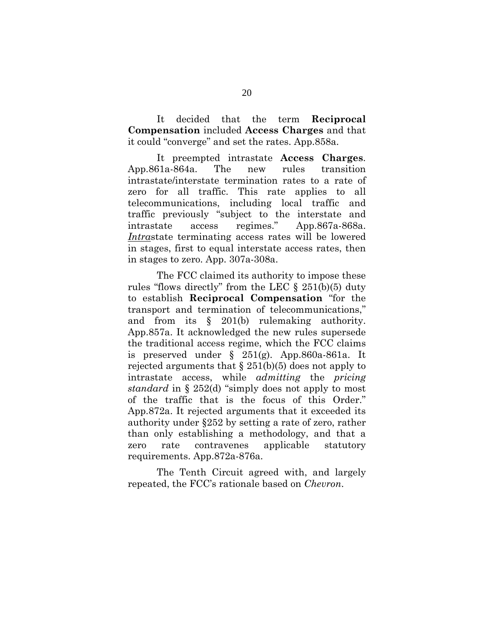It decided that the term **Reciprocal Compensation** included **Access Charges** and that it could "converge" and set the rates. App.858a.

It preempted intrastate **Access Charges**. App.861a-864a. The new rules transition intrastate/interstate termination rates to a rate of zero for all traffic. This rate applies to all telecommunications, including local traffic and traffic previously "subject to the interstate and intrastate access regimes." App.867a-868a. *Intra*state terminating access rates will be lowered in stages, first to equal interstate access rates, then in stages to zero. App. 307a-308a.

The FCC claimed its authority to impose these rules "flows directly" from the LEC  $\S$  251(b)(5) duty to establish **Reciprocal Compensation** "for the transport and termination of telecommunications," and from its § 201(b) rulemaking authority. App.857a. It acknowledged the new rules supersede the traditional access regime, which the FCC claims is preserved under § 251(g). App.860a-861a. It rejected arguments that  $\S 251(b)(5)$  does not apply to intrastate access, while *admitting* the *pricing standard* in § 252(d) "simply does not apply to most of the traffic that is the focus of this Order." App.872a. It rejected arguments that it exceeded its authority under §252 by setting a rate of zero, rather than only establishing a methodology, and that a zero rate contravenes applicable statutory requirements. App.872a-876a.

The Tenth Circuit agreed with, and largely repeated, the FCC's rationale based on *Chevron*.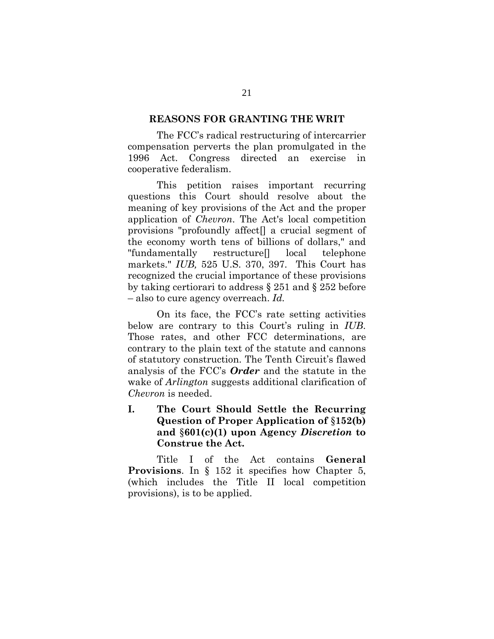#### **REASONS FOR GRANTING THE WRIT**

The FCC's radical restructuring of intercarrier compensation perverts the plan promulgated in the 1996 Act. Congress directed an exercise in cooperative federalism.

This petition raises important recurring questions this Court should resolve about the meaning of key provisions of the Act and the proper application of *Chevron*. The Act's local competition provisions "profoundly affect[] a crucial segment of the economy worth tens of billions of dollars," and "fundamentally restructure[] local telephone markets." *IUB,* 525 U.S. 370, 397. This Court has recognized the crucial importance of these provisions by taking certiorari to address § 251 and § 252 before – also to cure agency overreach. *Id.* 

On its face, the FCC's rate setting activities below are contrary to this Court's ruling in *IUB*. Those rates, and other FCC determinations, are contrary to the plain text of the statute and cannons of statutory construction. The Tenth Circuit's flawed analysis of the FCC's *Order* and the statute in the wake of *Arlington* suggests additional clarification of *Chevron* is needed.

**I. The Court Should Settle the Recurring Question of Proper Application of** §**152(b) and** §**601(c)(1) upon Agency** *Discretion* **to Construe the Act.** 

Title I of the Act contains **General Provisions**. In § 152 it specifies how Chapter 5, (which includes the Title II local competition provisions), is to be applied.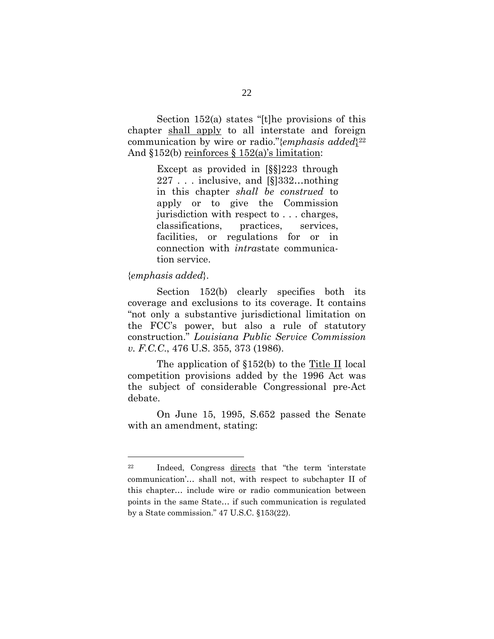Section 152(a) states "[t]he provisions of this chapter shall apply to all interstate and foreign communication by wire or radio."{*emphasis added*}22 And  $$152(b)$  reinforces  $$152(a)$ 's limitation:

> Except as provided in [§§]223 through 227 . . . inclusive, and [§]332…nothing in this chapter *shall be construed* to apply or to give the Commission jurisdiction with respect to . . . charges, classifications, practices, services, facilities, or regulations for or in connection with *intra*state communication service.

#### {*emphasis added*}.

 $\overline{a}$ 

Section 152(b) clearly specifies both its coverage and exclusions to its coverage. It contains "not only a substantive jurisdictional limitation on the FCC's power, but also a rule of statutory construction." *Louisiana Public Service Commission v. F.C.C*., 476 U.S. 355, 373 (1986).

The application of  $$152(b)$  to the Title II local competition provisions added by the 1996 Act was the subject of considerable Congressional pre-Act debate.

On June 15, 1995, S.652 passed the Senate with an amendment, stating:

<sup>22</sup> Indeed, Congress directs that "the term 'interstate communication'… shall not, with respect to subchapter II of this chapter… include wire or radio communication between points in the same State… if such communication is regulated by a State commission." 47 U.S.C. §153(22).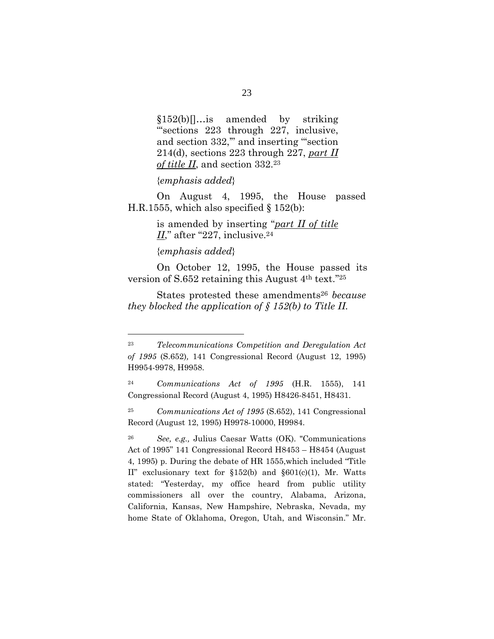§152(b)[]…is amended by striking '''sections 223 through 227, inclusive, and section 332," and inserting "section 214(d), sections 223 through 227, *part II of title II*, and section 332.23

#### {*emphasis added*}

On August 4, 1995, the House passed H.R.1555, which also specified  $\S 152(b)$ :

> is amended by inserting ''*part II of title*   $II$ ," after "227, inclusive.<sup>24</sup>

#### {*emphasis added*}

 $\overline{a}$ 

 On October 12, 1995, the House passed its version of S.652 retaining this August 4th text.''25

States protested these amendments<sup>26</sup> *because they blocked the application of § 152(b) to Title II.*

<sup>23</sup> *Telecommunications Competition and Deregulation Act of 1995* (S.652)*,* 141 Congressional Record (August 12, 1995) H9954-9978, H9958.

<sup>24</sup> *Communications Act of 1995* (H.R. 1555), 141 Congressional Record (August 4, 1995) H8426-8451, H8431.

<sup>25</sup> *Communications Act of 1995* (S.652), 141 Congressional Record (August 12, 1995) H9978-10000, H9984.

<sup>26</sup> *See, e.g.,* Julius Caesar Watts (OK). "Communications Act of 1995" 141 Congressional Record H8453 – H8454 (August 4, 1995) p. During the debate of HR 1555,which included "Title II" exclusionary text for §152(b) and §601(c)(1), Mr. Watts stated: "Yesterday, my office heard from public utility commissioners all over the country, Alabama, Arizona, California, Kansas, New Hampshire, Nebraska, Nevada, my home State of Oklahoma, Oregon, Utah, and Wisconsin." Mr.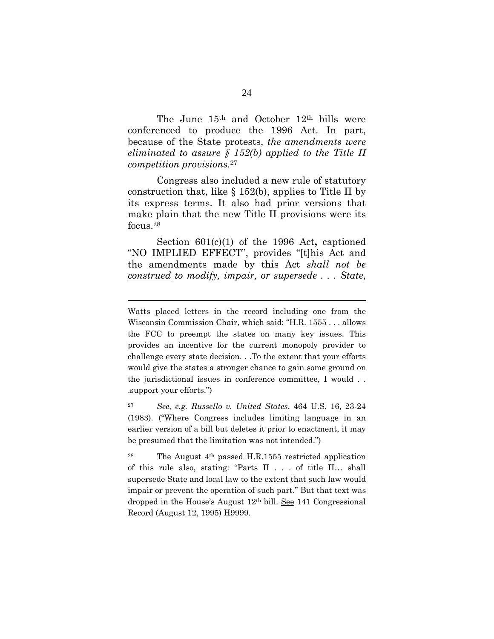The June 15th and October 12th bills were conferenced to produce the 1996 Act. In part, because of the State protests, *the amendments were eliminated to assure § 152(b) applied to the Title II competition provisions.*<sup>27</sup>

Congress also included a new rule of statutory construction that, like § 152(b), applies to Title II by its express terms. It also had prior versions that make plain that the new Title II provisions were its focus.28

Section 601(c)(1) of the 1996 Act**,** captioned "NO IMPLIED EFFECT", provides "[t]his Act and the amendments made by this Act *shall not be construed to modify, impair, or supersede . . . State*,

Watts placed letters in the record including one from the Wisconsin Commission Chair, which said: "H.R. 1555 . . . allows the FCC to preempt the states on many key issues. This provides an incentive for the current monopoly provider to challenge every state decision. . .To the extent that your efforts would give the states a stronger chance to gain some ground on the jurisdictional issues in conference committee, I would . . .support your efforts.")

<sup>27</sup> *See, e.g. Russello v. United States*, 464 U.S. 16, 23-24 (1983). ("Where Congress includes limiting language in an earlier version of a bill but deletes it prior to enactment, it may be presumed that the limitation was not intended.")

<sup>&</sup>lt;sup>28</sup> The August  $4<sup>th</sup>$  passed H.R.1555 restricted application of this rule also, stating: "Parts II . . . of title II… shall supersede State and local law to the extent that such law would impair or prevent the operation of such part." But that text was dropped in the House's August 12<sup>th</sup> bill. See 141 Congressional Record (August 12, 1995) H9999.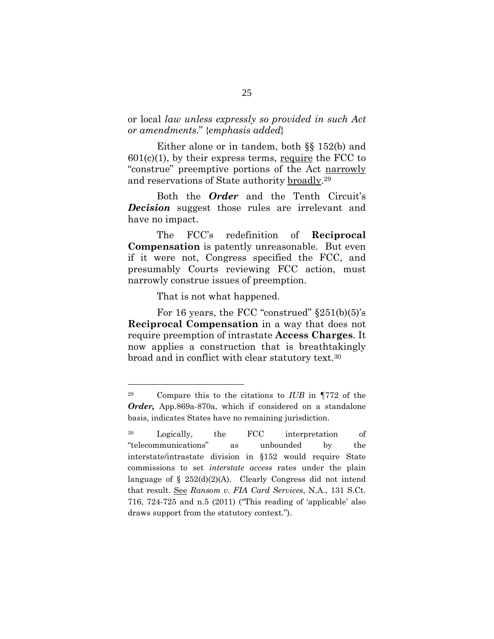## or local *law unless expressly so provided in such Act or amendments*." {*emphasis added*}

Either alone or in tandem, both §§ 152(b) and  $601(c)(1)$ , by their express terms, require the FCC to "construe" preemptive portions of the Act narrowly and reservations of State authority broadly.29

Both the *Order* and the Tenth Circuit's *Decision* suggest those rules are irrelevant and have no impact.

The FCC's redefinition of **Reciprocal Compensation** is patently unreasonable. But even if it were not, Congress specified the FCC, and presumably Courts reviewing FCC action, must narrowly construe issues of preemption.

That is not what happened.

 $\overline{a}$ 

For 16 years, the FCC "construed" §251(b)(5)'s **Reciprocal Compensation** in a way that does not require preemption of intrastate **Access Charges**. It now applies a construction that is breathtakingly broad and in conflict with clear statutory text.30

<sup>29</sup> Compare this to the citations to *IUB* in ¶772 of the *Order,* App.869a-870a, which if considered on a standalone basis, indicates States have no remaining jurisdiction.

<sup>30</sup> Logically, the FCC interpretation of "telecommunications" as unbounded by the interstate/intrastate division in §152 would require State commissions to set *interstate access* rates under the plain language of  $\S 252(d)(2)(A)$ . Clearly Congress did not intend that result. See *Ransom v. FIA Card Services*, N.A., 131 S.Ct. 716, 724-725 and n.5 (2011) ("This reading of 'applicable' also draws support from the statutory context.").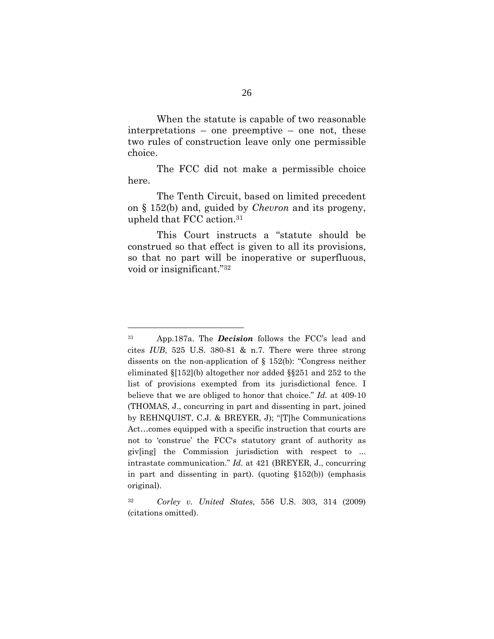When the statute is capable of two reasonable interpretations – one preemptive – one not, these two rules of construction leave only one permissible choice.

The FCC did not make a permissible choice here.

The Tenth Circuit, based on limited precedent on § 152(b) and, guided by *Chevron* and its progeny, upheld that FCC action.31

 This Court instructs a "statute should be construed so that effect is given to all its provisions, so that no part will be inoperative or superfluous, void or insignificant."32

<sup>31</sup> App.187a. The *Decision* follows the FCC's lead and cites *IUB*, 525 U.S. 380-81 & n.7. There were three strong dissents on the non-application of § 152(b): "Congress neither eliminated §[152](b) altogether nor added §§251 and 252 to the list of provisions exempted from its jurisdictional fence. I believe that we are obliged to honor that choice." *Id.* at 409-10 (THOMAS, J., concurring in part and dissenting in part, joined by REHNQUIST, C.J. & BREYER, J); "[T]he Communications Act…comes equipped with a specific instruction that courts are not to 'construe' the FCC's statutory grant of authority as giv[ing] the Commission jurisdiction with respect to ... intrastate communication." *Id.* at 421 (BREYER, J., concurring in part and dissenting in part). (quoting §152(b)) (emphasis original).

<sup>32</sup> *Corley v. United States*, 556 U.S. 303, 314 (2009) (citations omitted).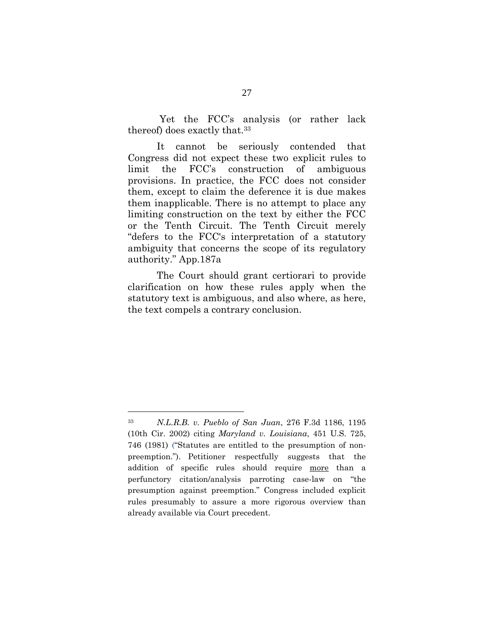Yet the FCC's analysis (or rather lack thereof) does exactly that.33

It cannot be seriously contended that Congress did not expect these two explicit rules to limit the FCC's construction of ambiguous provisions. In practice, the FCC does not consider them, except to claim the deference it is due makes them inapplicable. There is no attempt to place any limiting construction on the text by either the FCC or the Tenth Circuit. The Tenth Circuit merely "defers to the FCC's interpretation of a statutory ambiguity that concerns the scope of its regulatory authority." App.187a

The Court should grant certiorari to provide clarification on how these rules apply when the statutory text is ambiguous, and also where, as here, the text compels a contrary conclusion.

<sup>33</sup> *N.L.R.B. v. Pueblo of San Juan*, 276 F.3d 1186, 1195 (10th Cir. 2002) citing *Maryland v. Louisiana*, 451 U.S. 725, 746 (1981) ("Statutes are entitled to the presumption of nonpreemption."). Petitioner respectfully suggests that the addition of specific rules should require more than a perfunctory citation/analysis parroting case-law on "the presumption against preemption." Congress included explicit rules presumably to assure a more rigorous overview than already available via Court precedent.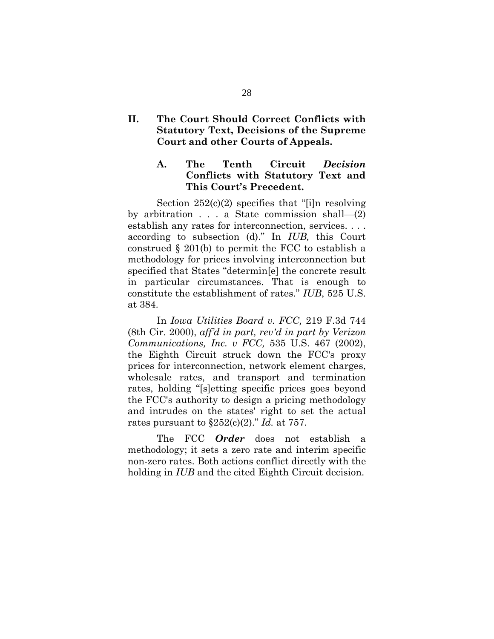## **II. The Court Should Correct Conflicts with Statutory Text, Decisions of the Supreme Court and other Courts of Appeals.**

## **A. The Tenth Circuit** *Decision* **Conflicts with Statutory Text and This Court's Precedent.**

Section  $252(c)(2)$  specifies that "[i]n resolving by arbitration . . . a State commission shall—(2) establish any rates for interconnection, services. . . . according to subsection (d)." In *IUB,* this Court construed  $\S$  201(b) to permit the FCC to establish a methodology for prices involving interconnection but specified that States "determin[e] the concrete result in particular circumstances. That is enough to constitute the establishment of rates." *IUB*, 525 U.S. at 384.

In *Iowa Utilities Board v. FCC,* 219 F.3d 744 (8th Cir. 2000), *aff'd in part, rev'd in part by Verizon Communications, Inc. v FCC,* 535 U.S. 467 (2002), the Eighth Circuit struck down the FCC's proxy prices for interconnection, network element charges, wholesale rates, and transport and termination rates, holding "[s]etting specific prices goes beyond the FCC's authority to design a pricing methodology and intrudes on the states' right to set the actual rates pursuant to §252(c)(2)." *Id.* at 757.

 The FCC *Order* does not establish a methodology; it sets a zero rate and interim specific non-zero rates. Both actions conflict directly with the holding in *IUB* and the cited Eighth Circuit decision.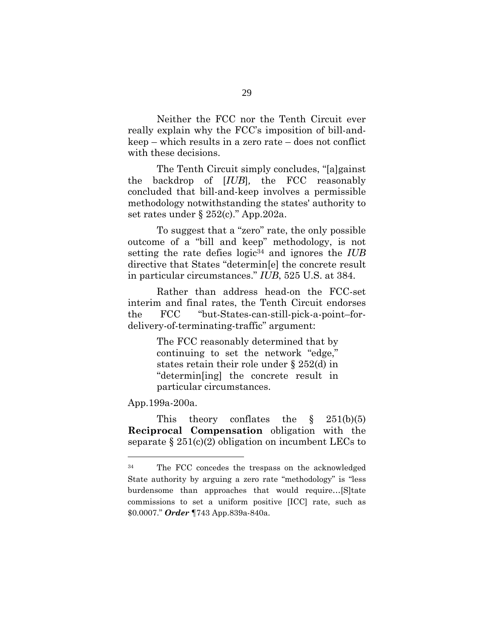Neither the FCC nor the Tenth Circuit ever really explain why the FCC's imposition of bill-andkeep – which results in a zero rate – does not conflict with these decisions.

 The Tenth Circuit simply concludes, "[a]gainst the backdrop of [*IUB*]*,* the FCC reasonably concluded that bill-and-keep involves a permissible methodology notwithstanding the states' authority to set rates under § 252(c)." App.202a.

 To suggest that a "zero" rate, the only possible outcome of a "bill and keep" methodology, is not setting the rate defies logic<sup>34</sup> and ignores the *IUB* directive that States "determin[e] the concrete result in particular circumstances." *IUB*, 525 U.S. at 384.

 Rather than address head-on the FCC-set interim and final rates, the Tenth Circuit endorses the FCC "but-States-can-still-pick-a-point–fordelivery-of-terminating-traffic" argument:

> The FCC reasonably determined that by continuing to set the network "edge," states retain their role under § 252(d) in "determin[ing] the concrete result in particular circumstances.

App.199a-200a.

 $\overline{a}$ 

This theory conflates the  $\S$  251(b)(5) **Reciprocal Compensation** obligation with the separate  $\S 251(c)(2)$  obligation on incumbent LECs to

<sup>34</sup> The FCC concedes the trespass on the acknowledged State authority by arguing a zero rate "methodology" is "less burdensome than approaches that would require…[S]tate commissions to set a uniform positive [ICC] rate, such as \$0.0007." *Order* ¶743 App.839a-840a.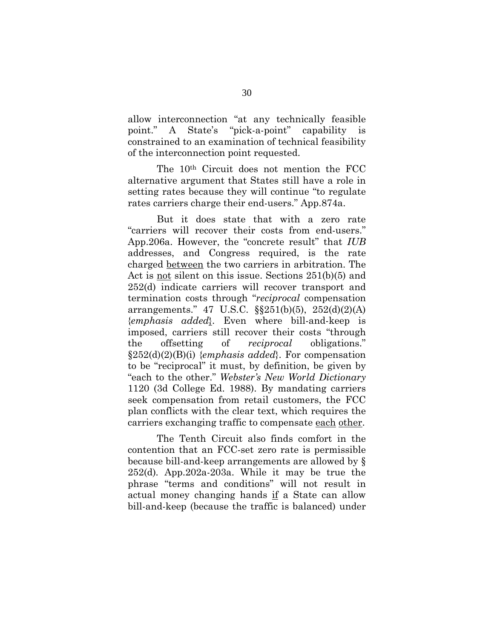allow interconnection "at any technically feasible point." A State's "pick-a-point" capability is constrained to an examination of technical feasibility of the interconnection point requested.

The 10th Circuit does not mention the FCC alternative argument that States still have a role in setting rates because they will continue "to regulate rates carriers charge their end-users." App.874a.

But it does state that with a zero rate "carriers will recover their costs from end-users." App.206a. However, the "concrete result" that *IUB*  addresses, and Congress required, is the rate charged between the two carriers in arbitration. The Act is not silent on this issue. Sections 251(b)(5) and 252(d) indicate carriers will recover transport and termination costs through "*reciprocal* compensation arrangements." 47 U.S.C. §§251(b)(5), 252(d)(2)(A) {*emphasis added*}. Even where bill-and-keep is imposed, carriers still recover their costs "through the offsetting of *reciprocal* obligations." §252(d)(2)(B)(i) {*emphasis added*}. For compensation to be "reciprocal" it must, by definition, be given by "each to the other." *Webster's New World Dictionary*  1120 (3d College Ed. 1988). By mandating carriers seek compensation from retail customers, the FCC plan conflicts with the clear text, which requires the carriers exchanging traffic to compensate each other.

 The Tenth Circuit also finds comfort in the contention that an FCC-set zero rate is permissible because bill-and-keep arrangements are allowed by § 252(d)*.* App.202a-203a. While it may be true the phrase "terms and conditions" will not result in actual money changing hands if a State can allow bill-and-keep (because the traffic is balanced) under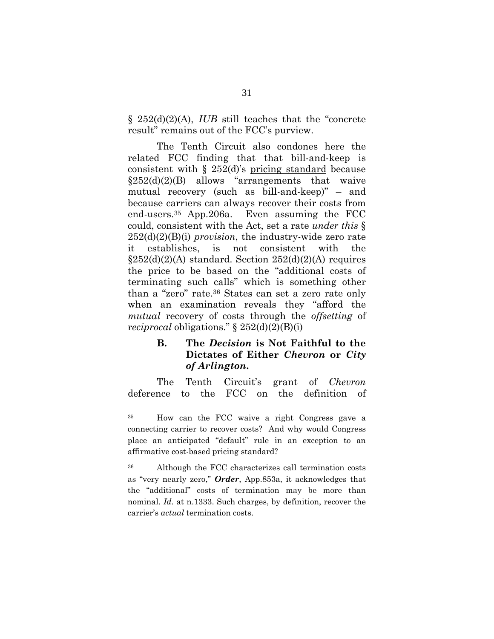§\_252(d)(2)(A), *IUB* still teaches that the "concrete result" remains out of the FCC's purview.

 The Tenth Circuit also condones here the related FCC finding that that bill-and-keep is consistent with § 252(d)'s pricing standard because  $§252(d)(2)(B)$  allows "arrangements that waive mutual recovery (such as bill-and-keep)" – and because carriers can always recover their costs from end-users.35 App.206a. Even assuming the FCC could, consistent with the Act, set a rate *under this* § 252(d)(2)(B)(i) *provision*, the industry-wide zero rate it establishes, is not consistent with the  $\S252(d)(2)(A)$  standard. Section  $252(d)(2)(A)$  requires the price to be based on the "additional costs of terminating such calls" which is something other than a "zero" rate.36 States can set a zero rate only when an examination reveals they "afford the *mutual* recovery of costs through the *offsetting* of r*eciprocal* obligations." § 252(d)(2)(B)(i)

## **B. The** *Decision* **is Not Faithful to the Dictates of Either** *Chevron* **or** *City of Arlington***.**

The Tenth Circuit's grant of *Chevron* deference to the FCC on the definition of

<sup>35</sup> How can the FCC waive a right Congress gave a connecting carrier to recover costs? And why would Congress place an anticipated "default" rule in an exception to an affirmative cost-based pricing standard?

<sup>36</sup> Although the FCC characterizes call termination costs as "very nearly zero," *Order*, App.853a, it acknowledges that the "additional" costs of termination may be more than nominal. *Id.* at n.1333. Such charges, by definition, recover the carrier's *actual* termination costs.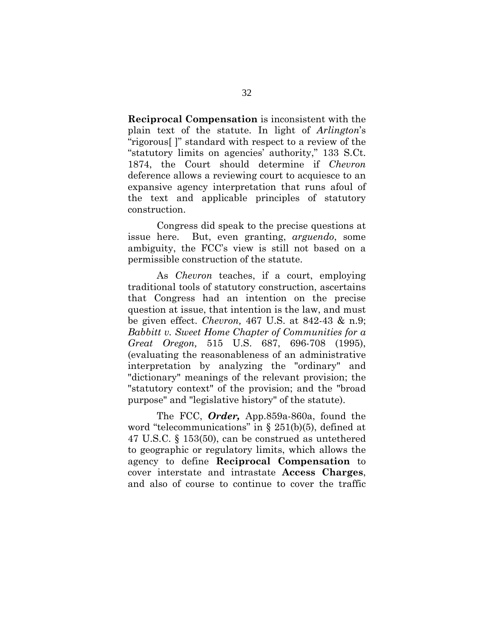**Reciprocal Compensation** is inconsistent with the plain text of the statute. In light of *Arlington*'s "rigorous[ ]" standard with respect to a review of the "statutory limits on agencies' authority," 133 S.Ct. 1874, the Court should determine if *Chevron* deference allows a reviewing court to acquiesce to an expansive agency interpretation that runs afoul of the text and applicable principles of statutory construction.

Congress did speak to the precise questions at issue here. But, even granting, *arguendo*, some ambiguity, the FCC's view is still not based on a permissible construction of the statute.

As *Chevron* teaches, if a court, employing traditional tools of statutory construction, ascertains that Congress had an intention on the precise question at issue, that intention is the law, and must be given effect. *Chevron,* 467 U.S. at 842-43 & n.9; *Babbitt v. Sweet Home Chapter of Communities for a Great Oregon,* 515 U.S. 687, 696-708 (1995), (evaluating the reasonableness of an administrative interpretation by analyzing the "ordinary" and "dictionary" meanings of the relevant provision; the "statutory context" of the provision; and the "broad purpose" and "legislative history" of the statute).

The FCC, *Order,* App.859a-860a, found the word "telecommunications" in § 251(b)(5), defined at 47 U.S.C. § 153(50), can be construed as untethered to geographic or regulatory limits, which allows the agency to define **Reciprocal Compensation** to cover interstate and intrastate **Access Charges**, and also of course to continue to cover the traffic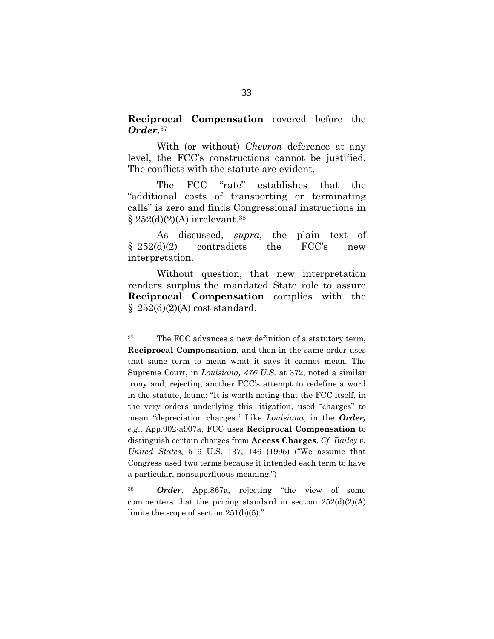**Reciprocal Compensation** covered before the *Order*.37

With (or without) *Chevron* deference at any level, the FCC's constructions cannot be justified. The conflicts with the statute are evident.

The FCC "rate" establishes that the "additional costs of transporting or terminating calls" is zero and finds Congressional instructions in  $\S 252(d)(2)(A)$  irrelevant.<sup>38</sup>

As discussed, *supra*, the plain text of  $\S 252(d)(2)$  contradicts the FCC's new interpretation.

Without question, that new interpretation renders surplus the mandated State role to assure **Reciprocal Compensation** complies with the  $\S$  252(d)(2)(A) cost standard.

<sup>37</sup> The FCC advances a new definition of a statutory term, **Reciprocal Compensation**, and then in the same order uses that same term to mean what it says it cannot mean. The Supreme Court, in *Louisiana, 476 U.S.* at 372, noted a similar irony and, rejecting another FCC's attempt to redefine a word in the statute, found: "It is worth noting that the FCC itself, in the very orders underlying this litigation, used "charges" to mean "depreciation charges." Like *Louisiana*, in the *Order, e.g*., App.902-a907a, FCC uses **Reciprocal Compensation** to distinguish certain charges from **Access Charges**. *Cf. Bailey v. United States*, 516 U.S. 137, 146 (1995) ("We assume that Congress used two terms because it intended each term to have a particular, nonsuperfluous meaning.")

<sup>38</sup> *Order*, App.867a, rejecting "the view of some commenters that the pricing standard in section  $252(d)(2)(A)$ limits the scope of section 251(b)(5)."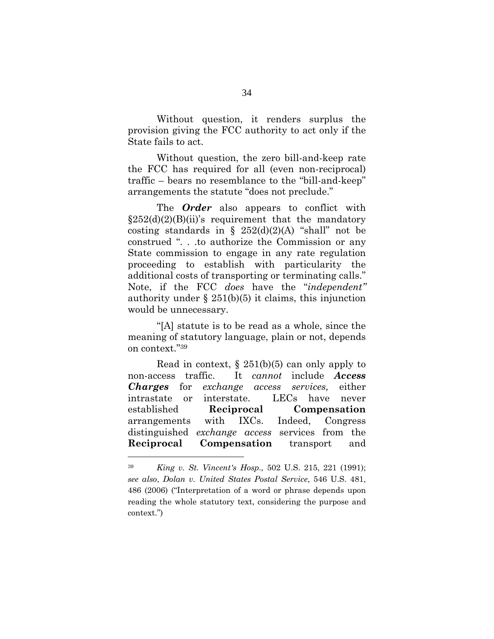Without question, it renders surplus the provision giving the FCC authority to act only if the State fails to act.

Without question, the zero bill-and-keep rate the FCC has required for all (even non-reciprocal) traffic – bears no resemblance to the "bill-and-keep" arrangements the statute "does not preclude."

The *Order* also appears to conflict with  $\S252(d)(2)(B)(ii)$ 's requirement that the mandatory costing standards in  $\S$  252(d)(2)(A) "shall" not be construed ". . .to authorize the Commission or any State commission to engage in any rate regulation proceeding to establish with particularity the additional costs of transporting or terminating calls." Note, if the FCC *does* have the "*independent"* authority under  $\S 251(b)(5)$  it claims, this injunction would be unnecessary.

"[A] statute is to be read as a whole, since the meaning of statutory language, plain or not, depends on context."39

Read in context,  $\S$  251(b)(5) can only apply to non-access traffic. It *cannot* include *Access Charges* for *exchange access services,* either intrastate or interstate. LECs have never established **Reciprocal Compensation** arrangements with IXCs. Indeed, Congress distinguished *exchange access* services from the **Reciprocal Compensation** transport and

<sup>39</sup> *King v. St. Vincent's Hosp.,* 502 U.S. 215, 221 (1991); *see also*, *Dolan v. United States Postal Service*, 546 U.S. 481, 486 (2006) ("Interpretation of a word or phrase depends upon reading the whole statutory text, considering the purpose and context.")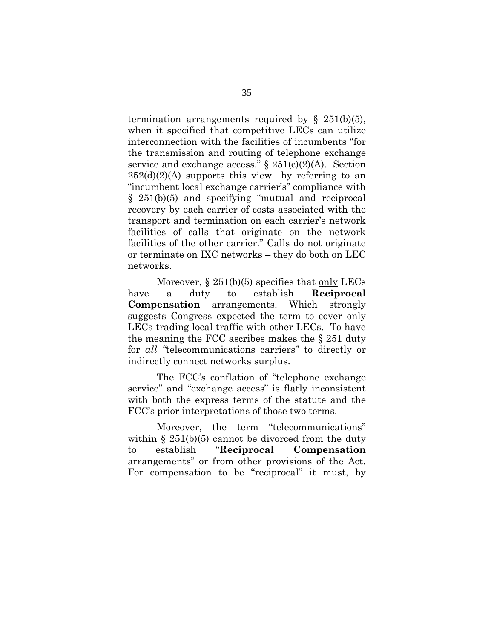termination arrangements required by  $\S$  251(b)(5), when it specified that competitive LECs can utilize interconnection with the facilities of incumbents "for the transmission and routing of telephone exchange service and exchange access."  $\S 251(c)(2)(A)$ . Section  $252(d)(2)(A)$  supports this view by referring to an "incumbent local exchange carrier's" compliance with § 251(b)(5) and specifying "mutual and reciprocal recovery by each carrier of costs associated with the transport and termination on each carrier's network facilities of calls that originate on the network facilities of the other carrier." Calls do not originate or terminate on IXC networks – they do both on LEC networks.

Moreover,  $\S 251(b)(5)$  specifies that only LECs have a duty to establish **Reciprocal Compensation** arrangements. Which strongly suggests Congress expected the term to cover only LECs trading local traffic with other LECs. To have the meaning the FCC ascribes makes the § 251 duty for *all "*telecommunications carriers" to directly or indirectly connect networks surplus.

The FCC's conflation of "telephone exchange service" and "exchange access" is flatly inconsistent with both the express terms of the statute and the FCC's prior interpretations of those two terms.

Moreover, the term "telecommunications" within  $\S 251(b)(5)$  cannot be divorced from the duty to establish "**Reciprocal Compensation** arrangements" or from other provisions of the Act. For compensation to be "reciprocal" it must, by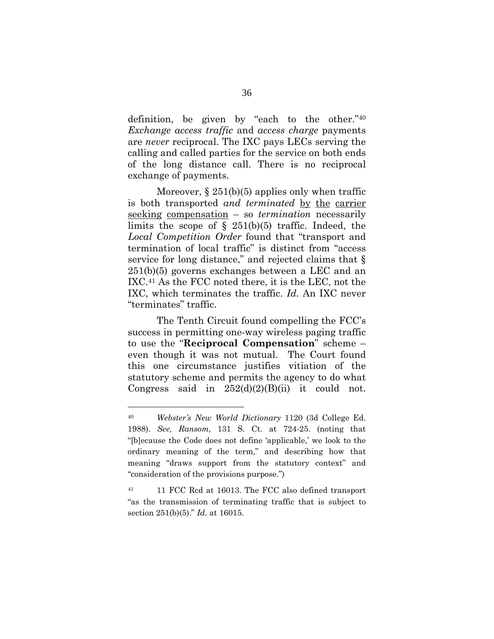definition, be given by "each to the other."40 *Exchange access traffic* and *access charge* payments are *never* reciprocal. The IXC pays LECs serving the calling and called parties for the service on both ends of the long distance call. There is no reciprocal exchange of payments.

Moreover,  $\S 251(b)(5)$  applies only when traffic is both transported *and terminated* by the carrier seeking compensation – so *termination* necessarily limits the scope of  $\S$  251(b)(5) traffic. Indeed, the *Local Competition Order* found that "transport and termination of local traffic" is distinct from "access service for long distance," and rejected claims that § 251(b)(5) governs exchanges between a LEC and an IXC.41 As the FCC noted there, it is the LEC, not the IXC, which terminates the traffic. *Id.* An IXC never "terminates" traffic.

The Tenth Circuit found compelling the FCC's success in permitting one-way wireless paging traffic to use the "**Reciprocal Compensation**" scheme – even though it was not mutual. The Court found this one circumstance justifies vitiation of the statutory scheme and permits the agency to do what Congress said in  $252(d)(2)(B)(ii)$  it could not.

<sup>40</sup> *Webster's New World Dictionary* 1120 (3d College Ed. 1988). *See, Ransom,* 131 S. Ct. at 724-25. (noting that "[b]ecause the Code does not define 'applicable,' we look to the ordinary meaning of the term," and describing how that meaning "draws support from the statutory context" and "consideration of the provisions purpose.")

<sup>&</sup>lt;sup>41</sup> 11 FCC Rcd at 16013. The FCC also defined transport "as the transmission of terminating traffic that is subject to section 251(b)(5)." *Id.* at 16015.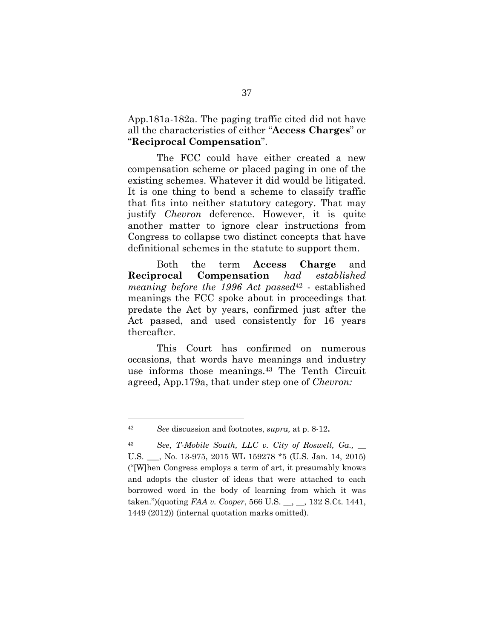App.181a-182a. The paging traffic cited did not have all the characteristics of either "**Access Charges**" or "**Reciprocal Compensation**".

The FCC could have either created a new compensation scheme or placed paging in one of the existing schemes. Whatever it did would be litigated. It is one thing to bend a scheme to classify traffic that fits into neither statutory category. That may justify *Chevron* deference. However, it is quite another matter to ignore clear instructions from Congress to collapse two distinct concepts that have definitional schemes in the statute to support them.

Both the term **Access Charge** and **Reciprocal Compensation** *had established meaning before the 1996 Act passed*42 - established meanings the FCC spoke about in proceedings that predate the Act by years, confirmed just after the Act passed, and used consistently for 16 years thereafter.

 This Court has confirmed on numerous occasions, that words have meanings and industry use informs those meanings.43 The Tenth Circuit agreed, App.179a, that under step one of *Chevron:*

<sup>42</sup> *See* discussion and footnotes, *supra,* at p. 8-12**.**

<sup>43</sup> *See*, *T-Mobile South, LLC v. City of Roswell, Ga.,* \_\_ U.S. \_\_\_, No. 13-975, 2015 WL 159278 \*5 (U.S. Jan. 14, 2015) ("[W]hen Congress employs a term of art, it presumably knows and adopts the cluster of ideas that were attached to each borrowed word in the body of learning from which it was taken.")(quoting *FAA v. Cooper*, 566 U.S. \_\_, \_\_, 132 S.Ct. 1441, 1449 (2012)) (internal quotation marks omitted).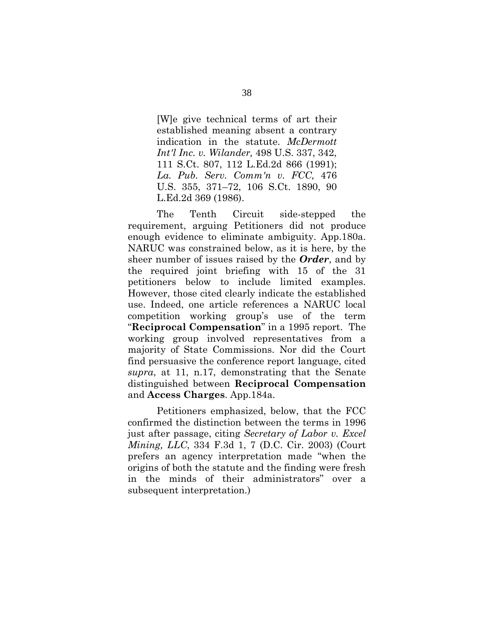[W]e give technical terms of art their established meaning absent a contrary indication in the statute. *McDermott Int'l Inc. v. Wilander,* 498 U.S. 337, 342, 111 S.Ct. 807, 112 L.Ed.2d 866 (1991); *La. Pub. Serv. Comm'n v. FCC,* 476 U.S. 355, 371–72, 106 S.Ct. 1890, 90 L.Ed.2d 369 (1986).

The Tenth Circuit side-stepped the requirement, arguing Petitioners did not produce enough evidence to eliminate ambiguity. App.180a. NARUC was constrained below, as it is here, by the sheer number of issues raised by the *Order*, and by the required joint briefing with 15 of the 31 petitioners below to include limited examples. However, those cited clearly indicate the established use. Indeed, one article references a NARUC local competition working group's use of the term "**Reciprocal Compensation**" in a 1995 report. The working group involved representatives from a majority of State Commissions. Nor did the Court find persuasive the conference report language, cited *supra*, at 11, n.17, demonstrating that the Senate distinguished between **Reciprocal Compensation** and **Access Charges**. App.184a.

Petitioners emphasized, below, that the FCC confirmed the distinction between the terms in 1996 just after passage, citing *Secretary of Labor v. Excel Mining, LLC*, 334 F.3d 1, 7 (D.C. Cir. 2003) (Court prefers an agency interpretation made "when the origins of both the statute and the finding were fresh in the minds of their administrators" over a subsequent interpretation.)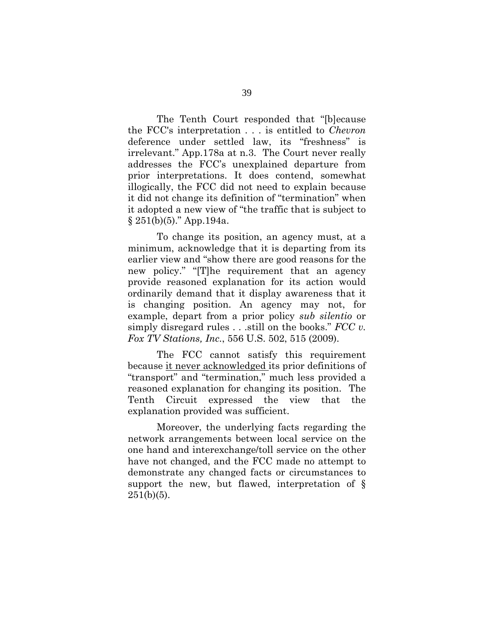The Tenth Court responded that "[b]ecause the FCC's interpretation . . . is entitled to *Chevron* deference under settled law, its "freshness" is irrelevant." App.178a at n.3. The Court never really addresses the FCC's unexplained departure from prior interpretations. It does contend, somewhat illogically, the FCC did not need to explain because it did not change its definition of "termination" when it adopted a new view of "the traffic that is subject to § 251(b)(5)." App.194a.

To change its position, an agency must, at a minimum, acknowledge that it is departing from its earlier view and "show there are good reasons for the new policy." "[T]he requirement that an agency provide reasoned explanation for its action would ordinarily demand that it display awareness that it is changing position. An agency may not, for example, depart from a prior policy *sub silentio* or simply disregard rules . . .still on the books." *FCC v. Fox TV Stations, Inc.*, 556 U.S. 502, 515 (2009).

The FCC cannot satisfy this requirement because it never acknowledged its prior definitions of "transport" and "termination," much less provided a reasoned explanation for changing its position. The Tenth Circuit expressed the view that the explanation provided was sufficient.

Moreover, the underlying facts regarding the network arrangements between local service on the one hand and interexchange/toll service on the other have not changed, and the FCC made no attempt to demonstrate any changed facts or circumstances to support the new, but flawed, interpretation of §  $251(b)(5)$ .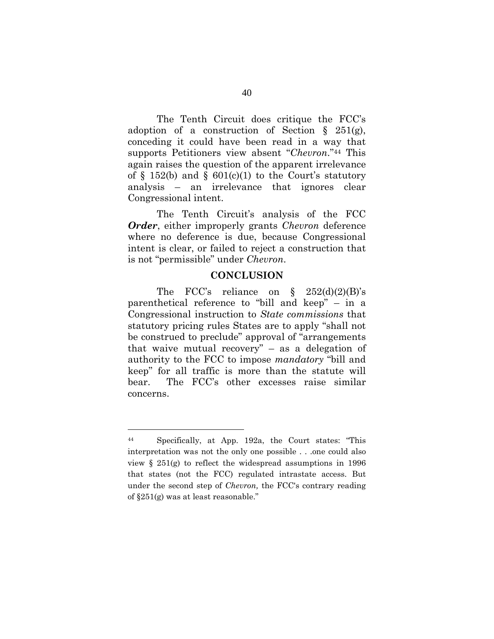The Tenth Circuit does critique the FCC's adoption of a construction of Section  $\S$  251(g), conceding it could have been read in a way that supports Petitioners view absent "*Chevron*."44 This again raises the question of the apparent irrelevance of  $\S$  152(b) and  $\S$  601(c)(1) to the Court's statutory analysis – an irrelevance that ignores clear Congressional intent.

The Tenth Circuit's analysis of the FCC *Order*, either improperly grants *Chevron* deference where no deference is due, because Congressional intent is clear, or failed to reject a construction that is not "permissible" under *Chevron*.

#### **CONCLUSION**

The FCC's reliance on  $\S$  252(d)(2)(B)'s parenthetical reference to "bill and keep" – in a Congressional instruction to *State commissions* that statutory pricing rules States are to apply "shall not be construed to preclude" approval of "arrangements that waive mutual recovery" – as a delegation of authority to the FCC to impose *mandatory* "bill and keep" for all traffic is more than the statute will bear. The FCC's other excesses raise similar concerns.

<sup>44</sup> Specifically, at App. 192a, the Court states: "This interpretation was not the only one possible . . .one could also view § 251(g) to reflect the widespread assumptions in 1996 that states (not the FCC) regulated intrastate access. But under the second step of *Chevron,* the FCC's contrary reading of §251(g) was at least reasonable."